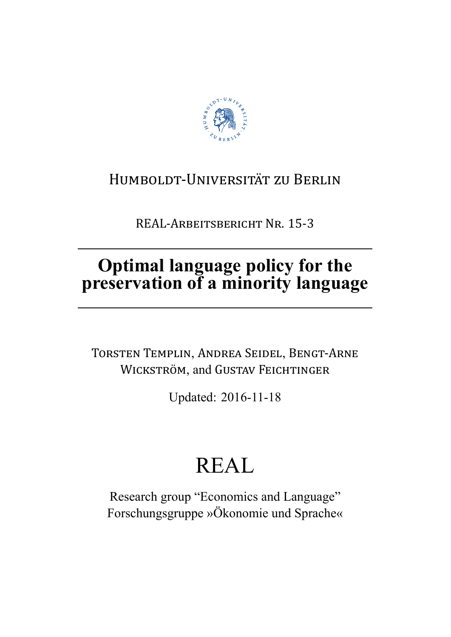

## HUMBOLDT-UNIVERSITÄT ZU BERLIN

REAL-ARBEITSBERICHT NR. 15-3

# Optimal language policy for the<br>preservation of a minority language

TORSTEN TEMPLIN, ANDREA SEIDEL, BENGT-ARNE WICKSTRÖM, and GUSTAV FEICHTINGER

Updated: 2016-11-18

# **REAL**

Research group "Economics and Language" Forschungsgruppe »Ökonomie und Sprache«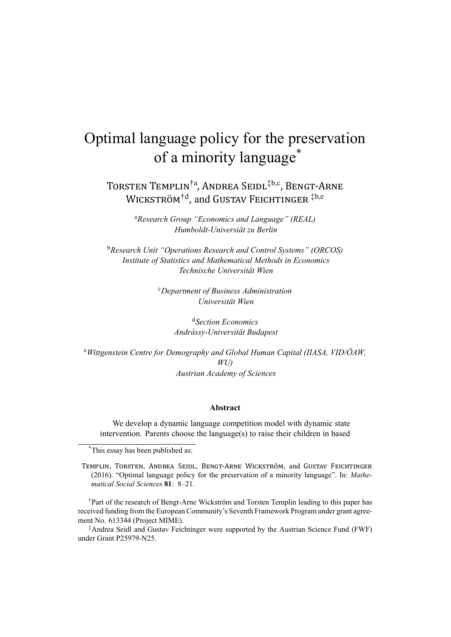### Optimal language policy for the preservation of a minority language\*

TORSTEN TEMPLIN<sup>†a</sup>, ANDREA SEIDL<sup>‡b,c</sup>, BENGT-ARNE WICKSTRÖM<sup>†d</sup>, and GUSTAV FEICHTINGER<sup>‡b,e</sup>

> <sup>a</sup>*Research Group "Economics and Language" (REAL) Humboldt-Universiät zu Berlin*

<sup>b</sup>*Research Unit "Operations Research and Control Systems" (ORCOS) Institute of Statistics and Mathematical Methods in Economics Technische Universität Wien*

> <sup>c</sup>*Department of Business Administration Universität Wien*

> > <sup>d</sup>*Section Economics Andrássy-Universität Budapest*

<sup>e</sup>*Wittgenstein Centre for Demography and Global Human Capital (IIASA, VID/ÖAW, WU) Austrian Academy of Sciences*

#### **Abstract**

We develop a dynamic language competition model with dynamic state intervention. Parents choose the language(s) to raise their children in based

\*This essay has been published as:

TEMPLIN, TORSTEN, ANDREA SEIDL, BENGT-ARNE WICKSTRÖM, and GUSTAV FEICHTINGER (2016). "Optimal language policy for the preservation of a minority language". In: *Mathematical Social Sciences* **81**: 8–21.

†Part of the research of Bengt-Arne Wickström and Torsten Templin leading to this paper has received funding from the European Community's Seventh Framework Program under grant agreement No. 613344 (Project MIME).

‡Andrea Seidl and Gustav Feichtinger were supported by the Austrian Science Fund (FWF) under Grant P25979-N25.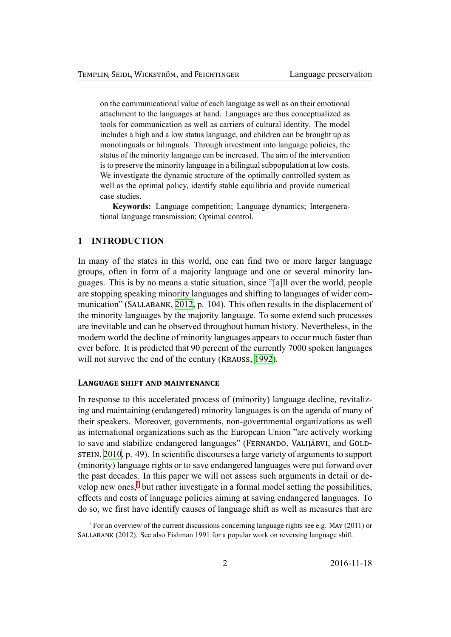on the communicational value of each language as well as on their emotional attachment to the languages at hand. Languages are thus conceptualized as tools for communication as well as carriers of cultural identity. The model includes a high and a low status language, and children can be brought up as monolinguals or bilinguals. Through investment into language policies, the status of the minority language can be increased. The aim of the intervention is to preserve the minority language in a bilingual subpopulation at low costs. We investigate the dynamic structure of the optimally controlled system as well as the optimal policy, identify stable equilibria and provide numerical case studies.

**Keywords:** Language competition; Language dynamics; Intergenerational language transmission; Optimal control.

#### **1 INTRODUCTION**

In many of the states in this world, one can find two or more larger language groups, often in form of a majority language and one or several minority languages. This is by no means a static situation, since "[a]ll over the world, people are stopping speaking minority languages and shifting to languages of wider communication" (SALLABANK, 2012, p. 104). This often results in the displacement of the minority languages by the majority language. To some extend such processes are inevitable and can be observed throughout human history. Nevertheless, in the modern world the decline [of min](#page-36-0)ority languages appears to occur much faster than ever before. It is predicted that 90 percent of the currently 7000 spoken languages will not survive the end of the century (KRAUSS, 1992).

#### **LANGUAGE SHIFT AND MAINTENANCE**

In response to this accelerated process of (mino[rity\) l](#page-35-0)anguage decline, revitalizing and maintaining (endangered) minority languages is on the agenda of many of their speakers. Moreover, governments, non-governmental organizations as well as international organizations such as the European Union "are actively working to save and stabilize endangered languages" (FERNANDO, VALIJÄRVI, and GOLD- $STEIN, 2010, p. 49$ . In scientific discourses a large variety of arguments to support (minority) language rights or to save endangered languages were put forward over the past decades. In this paper we will not assess such arguments in detail or develop [new o](#page-35-1)nes,<sup>1</sup> but rather investigate in a formal model setting the possibilities, effects and costs of language policies aiming at saving endangered languages. To do so, we first have identify causes of language shift as well as measures that are

<span id="page-2-0"></span><sup>&</sup>lt;sup>1</sup> For an overvi[ew](#page-2-0) of the current discussions concerning language rights see e.g. MAY (2011) or SALLABANK (2012). See also Fishman 1991 for a popular work on reversing language shift.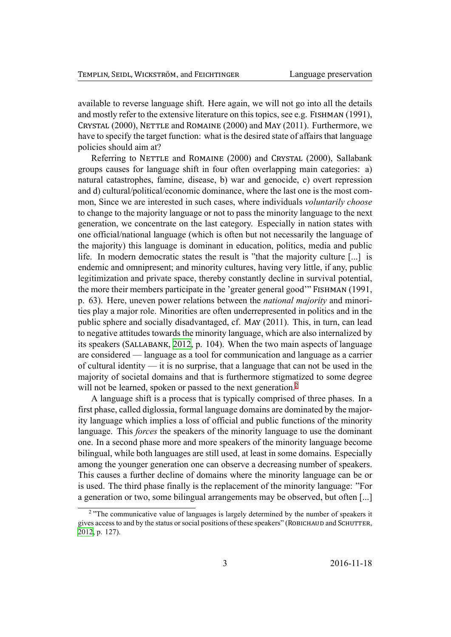available to reverse language shift. Here again, we will not go into all the details and mostly refer to the extensive literature on this topics, see e.g. FISHMAN (1991), CRYSTAL (2000), NETTLE and ROMAINE (2000) and MAY (2011). Furthermore, we have to specify the target function: what is the desired state of affairs that language policies should aim at?

Referring to NETTLE and ROMAINE (2000) and CRYSTAL (2000), Sallabank groups causes for language shift in four often overlapping main categories: a) natural catastrophes, famine, disease, b) war and genocide, c) overt repression and d) cultural/political/economic dominance, where the last one is the most common, Since we are interested in such cases, where individuals *voluntarily choose* to change to the majority language or not to pass the minority language to the next generation, we concentrate on the last category. Especially in nation states with one official/national language (which is often but not necessarily the language of the majority) this language is dominant in education, politics, media and public life. In modern democratic states the result is "that the majority culture [...] is endemic and omnipresent; and minority cultures, having very little, if any, public legitimization and private space, thereby constantly decline in survival potential, the more their members participate in the 'greater general good'" FISHMAN (1991, p. 63). Here, uneven power relations between the *national majority* and minorities play a major role. Minorities are often underrepresented in politics and in the public sphere and socially disadvantaged, cf. MAY (2011). This, in turn, can lead to negative attitudes towards the minority language, which are also internalized by its speakers (SALLABANK, 2012, p. 104). When the two main aspects of language are considered — language as a tool for communication and language as a carrier of cultural identity — it is no surprise, that a language that can not be used in the majority of societal doma[ins an](#page-36-0)d that is furthermore stigmatized to some degree will not be learned, spoken or passed to the next generation.<sup>2</sup>

A language shift is a process that is typically comprised of three phases. In a first phase, called diglossia, formal language domains are dominated by the majority language which implies a loss of official and public fun[ct](#page-3-0)ions of the minority language. This *forces* the speakers of the minority language to use the dominant one. In a second phase more and more speakers of the minority language become bilingual, while both languages are still used, at least in some domains. Especially among the younger generation one can observe a decreasing number of speakers. This causes a further decline of domains where the minority language can be or is used. The third phase finally is the replacement of the minority language: "For a generation or two, some bilingual arrangements may be observed, but often [...]

<span id="page-3-0"></span><sup>&</sup>lt;sup>2</sup> "The communicative value of languages is largely determined by the number of speakers it gives access to and by the status or social positions of these speakers" (ROBICHAUD and SCHUTTER, 2012, p. 127).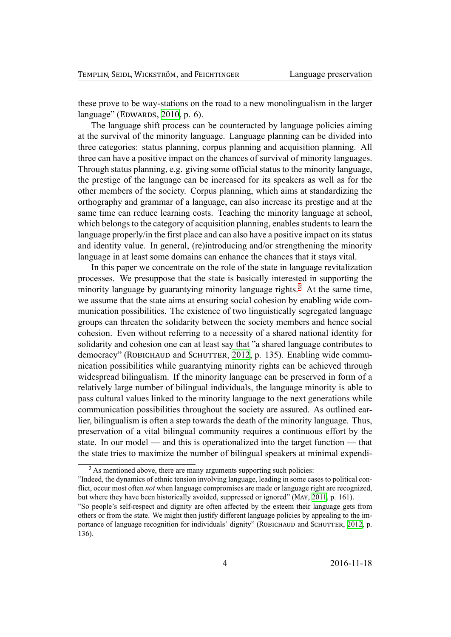these prove to be way-stations on the road to a new monolingualism in the larger language" (EDWARDS,  $2010$ , p. 6).

The language shift process can be counteracted by language policies aiming at the survival of the minority language. Language planning can be divided into three categories: statu[s plan](#page-35-2)ning, corpus planning and acquisition planning. All three can have a positive impact on the chances of survival of minority languages. Through status planning, e.g. giving some official status to the minority language, the prestige of the language can be increased for its speakers as well as for the other members of the society. Corpus planning, which aims at standardizing the orthography and grammar of a language, can also increase its prestige and at the same time can reduce learning costs. Teaching the minority language at school, which belongs to the category of acquisition planning, enables students to learn the language properly/in the first place and can also have a positive impact on its status and identity value. In general, (re)introducing and/or strengthening the minority language in at least some domains can enhance the chances that it stays vital.

In this paper we concentrate on the role of the state in language revitalization processes. We presuppose that the state is basically interested in supporting the minority language by guarantying minority language rights.<sup>3</sup> At the same time, we assume that the state aims at ensuring social cohesion by enabling wide communication possibilities. The existence of two linguistically segregated language groups can threaten the solidarity between the society mem[be](#page-4-0)rs and hence social cohesion. Even without referring to a necessity of a shared national identity for solidarity and cohesion one can at least say that "a shared language contributes to democracy" (ROBICHAUD and SCHUTTER, 2012, p. 135). Enabling wide communication possibilities while guarantying minority rights can be achieved through widespread bilingualism. If the minority language can be preserved in form of a relatively large number of bilingual indiv[iduals](#page-36-1), the language minority is able to pass cultural values linked to the minority language to the next generations while communication possibilities throughout the society are assured. As outlined earlier, bilingualism is often a step towards the death of the minority language. Thus, preservation of a vital bilingual community requires a continuous effort by the state. In our model — and this is operationalized into the target function — that the state tries to maximize the number of bilingual speakers at minimal expendi-

<sup>&</sup>lt;sup>3</sup> As mentioned above, there are many arguments supporting such policies:

<sup>&</sup>quot;Indeed, the dynamics of ethnic tension involving language, leading in some cases to political conflict, occur most often *not* when language compromises are made or language right are recognized, but where they have been historically avoided, suppressed or ignored" (MAY, 2011, p. 161).

<span id="page-4-0"></span><sup>&</sup>quot;So people's self-respect and dignity are often affected by the esteem their language gets from others or from the state. We might then justify different language policies by appealing to the importance of language recognition for individuals' dignity" (ROBICHAUD and SCHUTTER, 2012, p. 136).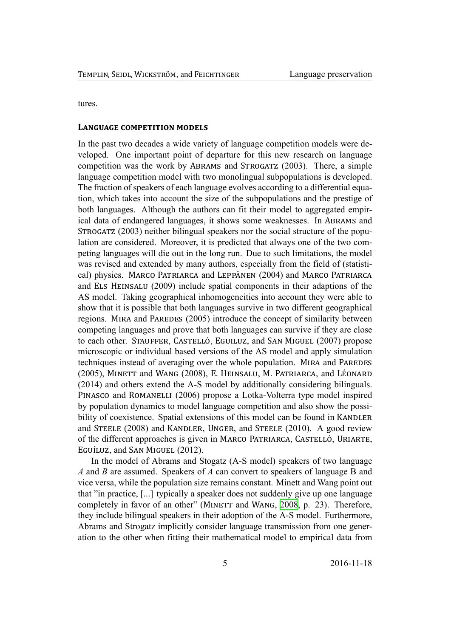tures.

#### **LANGUAGE COMPETITION MODELS**

In the past two decades a wide variety of language competition models were developed. One important point of departure for this new research on language competition was the work by ABRAMS and STROGATZ  $(2003)$ . There, a simple language competition model with two monolingual subpopulations is developed. The fraction of speakers of each language evolves according to a differential equation, which takes into account the size of the subpopulations and the prestige of both languages. Although the authors can fit their model to aggregated empirical data of endangered languages, it shows some weaknesses. In ABRAMS and  $S$ TROGATZ (2003) neither bilingual speakers nor the social structure of the population are considered. Moreover, it is predicted that always one of the two competing languages will die out in the long run. Due to such limitations, the model was revised and extended by many authors, especially from the field of (statistical) physics. MARCO PATRIARCA and LEPPÄNEN (2004) and MARCO PATRIARCA and ELS HEINSALU (2009) include spatial components in their adaptions of the AS model. Taking geographical inhomogeneities into account they were able to show that it is possible that both languages survive in two different geographical regions. MIRA and PAREDES (2005) introduce the concept of similarity between competing languages and prove that both languages can survive if they are close to each other. STAUFFER, CASTELLÓ, EGUILUZ, and SAN MIGUEL (2007) propose microscopic or individual based versions of the AS model and apply simulation techniques instead of averaging over the whole population. MIRA and PAREDES (2005), MINETT and WANG (2008), E. HEINSALU, M. PATRIARCA, and LÉONARD (2014) and others extend the A-S model by additionally considering bilinguals. PINASCO and ROMANELLI (2006) propose a Lotka-Volterra type model inspired by population dynamics to model language competition and also show the possibility of coexistence. Spatial extensions of this model can be found in KANDLER and STEELE (2008) and KANDLER, UNGER, and STEELE (2010). A good review of the different approaches is given in MARCO PATRIARCA, CASTELLÓ, URIARTE, EGUÍLUZ, and SAN MIGUEL (2012).

In the model of Abrams and Stogatz (A-S model) speakers of two language *A* and *B* are assumed. Speakers of *A* can convert to speakers of language B and vice versa, while the population size remains constant. Minett and Wang point out that "in practice, [...] typically a speaker does not suddenly give up one language completely in favor of an other" (MINETT and WANG, 2008, p. 23). Therefore, they include bilingual speakers in their adoption of the A-S model. Furthermore, Abrams and Strogatz implicitly consider language transmission from one generation to the other when fitting their mathematical mod[el to](#page-35-3) empirical data from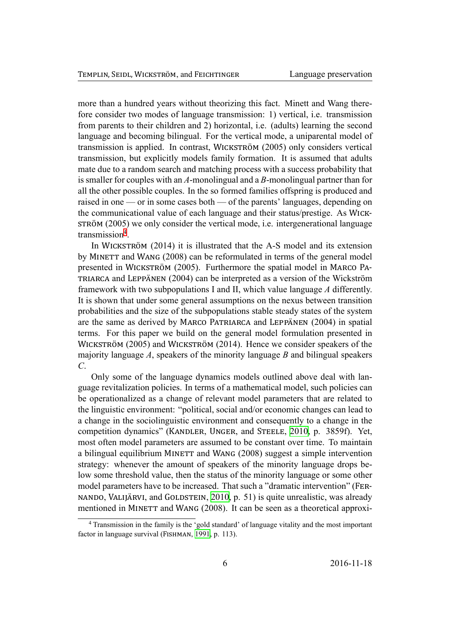more than a hundred years without theorizing this fact. Minett and Wang therefore consider two modes of language transmission: 1) vertical, i.e. transmission from parents to their children and 2) horizontal, i.e. (adults) learning the second language and becoming bilingual. For the vertical mode, a uniparental model of transmission is applied. In contrast, WICKSTRÖM (2005) only considers vertical transmission, but explicitly models family formation. It is assumed that adults mate due to a random search and matching process with a success probability that is smaller for couples with an *A*-monolingual and a *B*-monolingual partner than for all the other possible couples. In the so formed families offspring is produced and raised in one — or in some cases both — of the parents' languages, depending on the communicational value of each language and their status/prestige. As WICK-STRÖM (2005) we only consider the vertical mode, i.e. intergenerational language transmission<sup>4</sup>.

In WICKSTRÖM  $(2014)$  it is illustrated that the A-S model and its extension by MINETT and WANG (2008) can be reformulated in terms of the general model presented in [W](#page-6-0)ICKSTRÖM (2005). Furthermore the spatial model in MARCO PA-TRIARCA and LEPPÄNEN (2004) can be interpreted as a version of the Wickström framework with two subpopulations I and II, which value language *A* differently. It is shown that under some general assumptions on the nexus between transition probabilities and the size of the subpopulations stable steady states of the system are the same as derived by MARCO PATRIARCA and LEPPÄNEN (2004) in spatial terms. For this paper we build on the general model formulation presented in WICKSTRÖM (2005) and WICKSTRÖM (2014). Hence we consider speakers of the majority language *A*, speakers of the minority language *B* and bilingual speakers *C*.

Only some of the language dynamics models outlined above deal with language revitalization policies. In terms of a mathematical model, such policies can be operationalized as a change of relevant model parameters that are related to the linguistic environment: "political, social and/or economic changes can lead to a change in the sociolinguistic environment and consequently to a change in the competition dynamics" (KANDLER, UNGER, and STEELE, 2010, p. 3859f). Yet, most often model parameters are assumed to be constant over time. To maintain a bilingual equilibrium MINETT and WANG (2008) suggest a simple intervention strategy: whenever the amount of speakers of the minor[ity lan](#page-35-4)guage drops below some threshold value, then the status of the minority language or some other model parameters have to be increased. That such a "dramatic intervention" (FER-NANDO, VALIJÄRVI, and GOLDSTEIN,  $2010$ , p. 51) is quite unrealistic, was already mentioned in MINETT and WANG (2008). It can be seen as a theoretical approxi-

<span id="page-6-0"></span><sup>4</sup> Transmission in the family is the 'gold standard' of language vitality and the most important factor in language survival (FISHMAN, 1991[, p. 11](#page-35-1)3).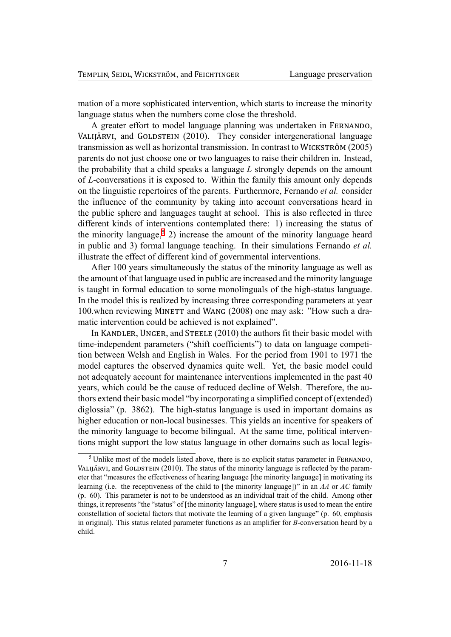mation of a more sophisticated intervention, which starts to increase the minority language status when the numbers come close the threshold.

A greater effort to model language planning was undertaken in FERNANDO, VALIJÄRVI, and GOLDSTEIN (2010). They consider intergenerational language transmission as well as horizontal transmission. In contrast to WICKSTRÖM (2005) parents do not just choose one or two languages to raise their children in. Instead, the probability that a child speaks a language *L* strongly depends on the amount of *L*-conversations it is exposed to. Within the family this amount only depends on the linguistic repertoires of the parents. Furthermore, Fernando *et al.* consider the influence of the community by taking into account conversations heard in the public sphere and languages taught at school. This is also reflected in three different kinds of interventions contemplated there: 1) increasing the status of the minority language,<sup>5</sup> 2) increase the amount of the minority language heard in public and 3) formal language teaching. In their simulations Fernando *et al.* illustrate the effect of different kind of governmental interventions.

After 100 years si[mu](#page-7-0)ltaneously the status of the minority language as well as the amount of that language used in public are increased and the minority language is taught in formal education to some monolinguals of the high-status language. In the model this is realized by increasing three corresponding parameters at year 100.when reviewing MINETT and WANG (2008) one may ask: "How such a dramatic intervention could be achieved is not explained".

In KANDLER, UNGER, and STEELE (2010) the authors fit their basic model with time-independent parameters ("shift coefficients") to data on language competition between Welsh and English in Wales. For the period from 1901 to 1971 the model captures the observed dynamics quite well. Yet, the basic model could not adequately account for maintenance interventions implemented in the past 40 years, which could be the cause of reduced decline of Welsh. Therefore, the authors extend their basic model "by incorporating a simplified concept of (extended) diglossia" (p. 3862). The high-status language is used in important domains as higher education or non-local businesses. This yields an incentive for speakers of the minority language to become bilingual. At the same time, political interventions might support the low status language in other domains such as local legis-

<span id="page-7-0"></span><sup>&</sup>lt;sup>5</sup> Unlike most of the models listed above, there is no explicit status parameter in FERNANDO, VALIJÄRVI, and GOLDSTEIN  $(2010)$ . The status of the minority language is reflected by the parameter that "measures the effectiveness of hearing language [the minority language] in motivating its learning (i.e. the receptiveness of the child to [the minority language])" in an *AA* or *AC* family (p. 60). This parameter is not to be understood as an individual trait of the child. Among other things, it represents "the "status" of [the minority language], where status is used to mean the entire constellation of societal factors that motivate the learning of a given language" (p. 60, emphasis in original). This status related parameter functions as an amplifier for *B*-conversation heard by a child.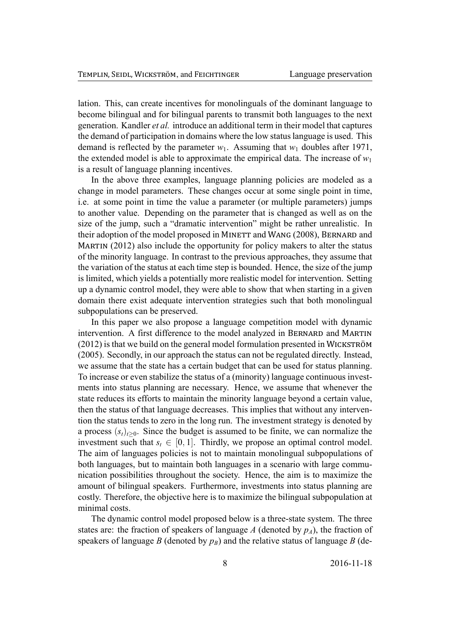lation. This, can create incentives for monolinguals of the dominant language to become bilingual and for bilingual parents to transmit both languages to the next generation. Kandler *et al.* introduce an additional term in their model that captures the demand of participation in domains where the low status language is used. This demand is reflected by the parameter  $w_1$ . Assuming that  $w_1$  doubles after 1971, the extended model is able to approximate the empirical data. The increase of  $w_1$ is a result of language planning incentives.

In the above three examples, language planning policies are modeled as a change in model parameters. These changes occur at some single point in time, i.e. at some point in time the value a parameter (or multiple parameters) jumps to another value. Depending on the parameter that is changed as well as on the size of the jump, such a "dramatic intervention" might be rather unrealistic. In their adoption of the model proposed in MINETT and WANG (2008), BERNARD and MARTIN  $(2012)$  also include the opportunity for policy makers to alter the status of the minority language. In contrast to the previous approaches, they assume that the variation of the status at each time step is bounded. Hence, the size of the jump is limited, which yields a potentially more realistic model for intervention. Setting up a dynamic control model, they were able to show that when starting in a given domain there exist adequate intervention strategies such that both monolingual subpopulations can be preserved.

In this paper we also propose a language competition model with dynamic intervention. A first difference to the model analyzed in BERNARD and MARTIN  $(2012)$  is that we build on the general model formulation presented in WICKSTRÖM (2005). Secondly, in our approach the status can not be regulated directly. Instead, we assume that the state has a certain budget that can be used for status planning. To increase or even stabilize the status of a (minority) language continuous investments into status planning are necessary. Hence, we assume that whenever the state reduces its efforts to maintain the minority language beyond a certain value, then the status of that language decreases. This implies that without any intervention the status tends to zero in the long run. The investment strategy is denoted by a process  $(s_t)_{t\geq0}$ . Since the budget is assumed to be finite, we can normalize the investment such that  $s_t \in [0, 1]$ . Thirdly, we propose an optimal control model. The aim of languages policies is not to maintain monolingual subpopulations of both languages, but to maintain both languages in a scenario with large communication possibilities throughout the society. Hence, the aim is to maximize the amount of bilingual speakers. Furthermore, investments into status planning are costly. Therefore, the objective here is to maximize the bilingual subpopulation at minimal costs.

The dynamic control model proposed below is a three-state system. The three states are: the fraction of speakers of language *A* (denoted by  $p_A$ ), the fraction of speakers of language *B* (denoted by  $p_B$ ) and the relative status of language *B* (de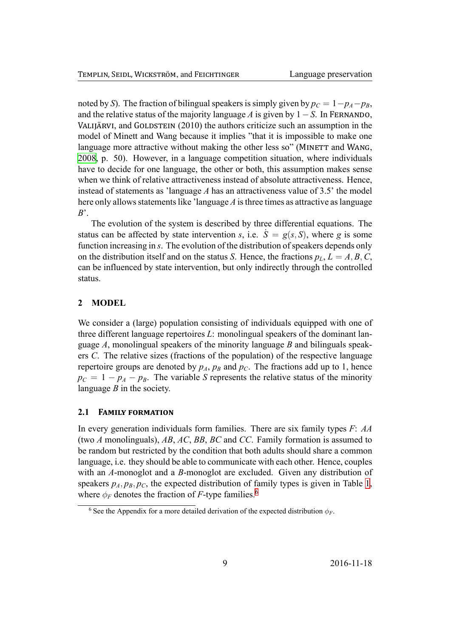noted by S). The fraction of bilingual speakers is simply given by  $p_C = 1 - p_A - p_B$ , and the relative status of the majority language A is given by  $1 - S$ . In FERNANDO, VALIJÄRVI, and GOLDSTEIN (2010) the authors criticize such an assumption in the model of Minett and Wang because it implies "that it is impossible to make one language more attractive without making the other less so" (MINETT and WANG, 2008, p. 50). However, in a language competition situation, where individuals have to decide for one language, the other or both, this assumption makes sense when we think of relative attractiveness instead of absolute attractiveness. Hence, instead of statements as 'language A has an attractiveness value of 3.5' the model here only allows statements like 'language  $\Lambda$  is three times as attractive as language  $B^{\prime}$ .

The evolution of the system is described by three differential equations. The status can be affected by state intervention s, i.e.  $S = g(s, S)$ , where g is some function increasing in s. The evolution of the distribution of speakers depends only on the distribution itself and on the status S. Hence, the fractions  $p_L$ ,  $L = A, B, C$ , can be influenced by state intervention, but only indirectly through the controlled status.

#### **MODEL**  $\boldsymbol{2}$

We consider a (large) population consisting of individuals equipped with one of three different language repertoires L: monolingual speakers of the dominant language  $A$ , monolingual speakers of the minority language  $B$  and bilinguals speakers C. The relative sizes (fractions of the population) of the respective language repertoire groups are denoted by  $p_A$ ,  $p_B$  and  $p_C$ . The fractions add up to 1, hence  $p_C = 1 - p_A - p_B$ . The variable S represents the relative status of the minority language  $B$  in the society.

#### $2.1$ **FAMILY FORMATION**

In every generation individuals form families. There are six family types  $F: AA$ (two A monolinguals), AB, AC, BB, BC and CC. Family formation is assumed to be random but restricted by the condition that both adults should share a common language, i.e. they should be able to communicate with each other. Hence, couples with an A-monoglot and a B-monoglot are excluded. Given any distribution of speakers  $p_A, p_B, p_C$ , the expected distribution of family types is given in Table 1, where  $\phi_F$  denotes the fraction of F-type families.<sup>6</sup>

<sup>&</sup>lt;sup>6</sup> See the Appendix for a more detailed derivation of the expected distribution  $\phi_F$ .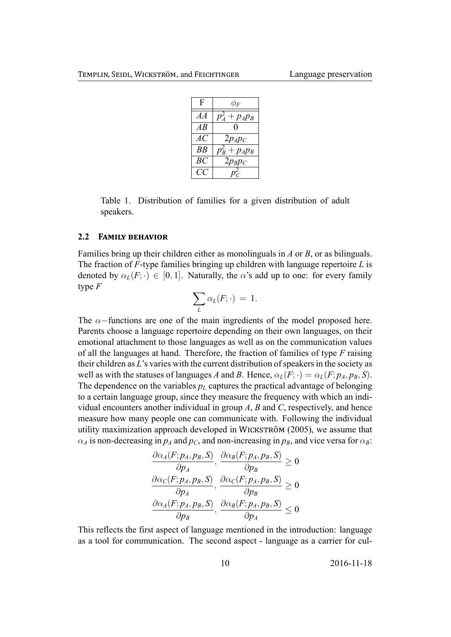| F  | $\phi_F$          |
|----|-------------------|
| AA | $p_A^2+p_A p_B$   |
| AB |                   |
| AC | $2p_A p_C$        |
| BB | $p_B^2 + p_A p_B$ |
| BC | $2p_Bp_C$         |
| CC |                   |

<span id="page-10-0"></span>Table 1. Distribution of families for a given distribution of adult speakers.

#### **2.2 FAMILY BEHAVIOR**

Families bring up their children either as monolinguals in *A* or *B*, or as bilinguals. The fraction of *F*-type families bringing up children with language repertoire *L* is denoted by  $\alpha_L(F; \cdot) \in [0, 1]$ . Naturally, the *α*'s add up to one: for every family type *F*

$$
\sum_L \alpha_L(F; \cdot) \ = \ 1.
$$

The *α−*functions are one of the main ingredients of the model proposed here. Parents choose a language repertoire depending on their own languages, on their emotional attachment to those languages as well as on the communication values of all the languages at hand. Therefore, the fraction of families of type *F* raising their children as *L*'s varies with the current distribution of speakers in the society as well as with the statuses of languages *A* and *B*. Hence,  $\alpha_L(F; \cdot) = \alpha_L(F; p_A, p_B, S)$ . The dependence on the variables  $p_L$  captures the practical advantage of belonging to a certain language group, since they measure the frequency with which an individual encounters another individual in group *A*, *B* and *C*, respectively, and hence measure how many people one can communicate with. Following the individual utility maximization approach developed in WICKSTRÖM (2005), we assume that  $\alpha_A$  is non-decreasing in  $p_A$  and  $p_C$ , and non-increasing in  $p_B$ , and vice versa for  $\alpha_B$ :

$$
\frac{\partial \alpha_A(F; p_A, p_B, S)}{\partial p_A}, \frac{\partial \alpha_B(F; p_A, p_B, S)}{\partial p_B} \ge 0
$$
  

$$
\frac{\partial \alpha_C(F; p_A, p_B, S)}{\partial p_A}, \frac{\partial \alpha_C(F; p_A, p_B, S)}{\partial p_B} \ge 0
$$
  

$$
\frac{\partial \alpha_A(F; p_A, p_B, S)}{\partial p_B}, \frac{\partial \alpha_B(F; p_A, p_B, S)}{\partial p_A} \le 0
$$

This reflects the first aspect of language mentioned in the introduction: language as a tool for communication. The second aspect - language as a carrier for cul-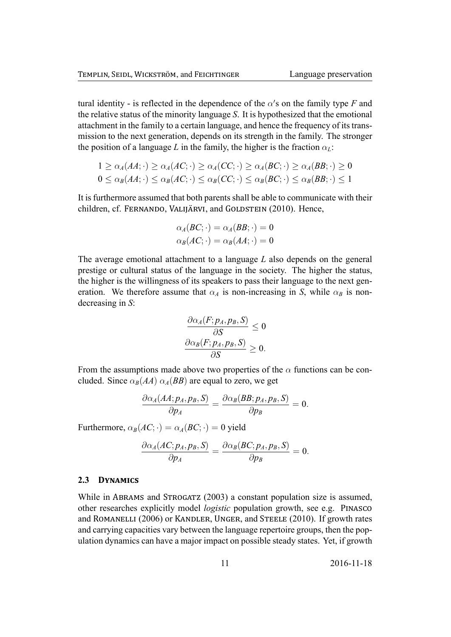tural identity - is reflected in the dependence of the  $\alpha$ 's on the family type *F* and the relative status of the minority language *S*. It is hypothesized that the emotional attachment in the family to a certain language, and hence the frequency of its transmission to the next generation, depends on its strength in the family. The stronger the position of a language *L* in the family, the higher is the fraction  $\alpha_L$ :

$$
1 \geq \alpha_A(AA; \cdot) \geq \alpha_A(AC; \cdot) \geq \alpha_A(CC; \cdot) \geq \alpha_A(BC; \cdot) \geq \alpha_A(BB; \cdot) \geq 0
$$
  

$$
0 \leq \alpha_B(AA; \cdot) \leq \alpha_B(AC; \cdot) \leq \alpha_B(CC; \cdot) \leq \alpha_B(BC; \cdot) \leq \alpha_B(BB; \cdot) \leq 1
$$

It is furthermore assumed that both parents shall be able to communicate with their children, cf. FERNANDO, VALIJÄRVI, and GOLDSTEIN (2010). Hence,

$$
\alpha_A(BC; \cdot) = \alpha_A(BB; \cdot) = 0
$$
  

$$
\alpha_B(AC; \cdot) = \alpha_B(AA; \cdot) = 0
$$

The average emotional attachment to a language *L* also depends on the general prestige or cultural status of the language in the society. The higher the status, the higher is the willingness of its speakers to pass their language to the next generation. We therefore assume that  $\alpha_A$  is non-increasing in *S*, while  $\alpha_B$  is nondecreasing in *S*:

$$
\frac{\partial \alpha_A(F; p_A, p_B, S)}{\partial S} \le 0
$$

$$
\frac{\partial \alpha_B(F; p_A, p_B, S)}{\partial S} \ge 0.
$$

From the assumptions made above two properties of the  $\alpha$  functions can be concluded. Since  $\alpha_B(AA)$   $\alpha_A(BB)$  are equal to zero, we get

$$
\frac{\partial \alpha_A(AA;p_A,p_B,S)}{\partial p_A}=\frac{\partial \alpha_B(BB;p_A,p_B,S)}{\partial p_B}=0.
$$

Furthermore,  $\alpha_B(AC; \cdot) = \alpha_A(BC; \cdot) = 0$  yield

$$
\frac{\partial \alpha_A(AC;p_A,p_B,S)}{\partial p_A}=\frac{\partial \alpha_B(BC;p_A,p_B,S)}{\partial p_B}=0.
$$

#### 2.3 **DYNAMICS**

While in ABRAMS and STROGATZ  $(2003)$  a constant population size is assumed, other researches explicitly model *logistic* population growth, see e.g. PINASCO and ROMANELLI (2006) or KANDLER, UNGER, and STEELE (2010). If growth rates and carrying capacities vary between the language repertoire groups, then the population dynamics can have a major impact on possible steady states. Yet, if growth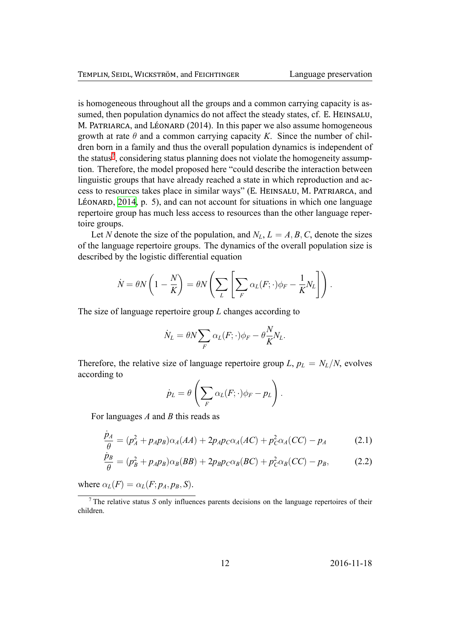is homogeneous throughout all the groups and a common carrying capacity is assumed, then population dynamics do not affect the steady states, cf. E. HEINSALU, M. PATRIARCA, and LÉONARD (2014). In this paper we also assume homogeneous growth at rate  $\theta$  and a common carrying capacity *K*. Since the number of children born in a family and thus the overall population dynamics is independent of the status<sup>7</sup>, considering status planning does not violate the homogeneity assumption. Therefore, the model proposed here "could describe the interaction between linguistic groups that have already reached a state in which reproduction and acc[es](#page-12-0)s to resources takes place in similar ways" (E. HEINSALU, M. PATRIARCA, and LÉONARD,  $2014$ , p. 5), and can not account for situations in which one language repertoire group has much less access to resources than the other language repertoire groups.

Let *N* [denote](#page-35-5) the size of the population, and  $N_L$ ,  $L = A, B, C$ , denote the sizes of the language repertoire groups. The dynamics of the overall population size is described by the logistic differential equation

$$
\dot{N} = \theta N \left( 1 - \frac{N}{K} \right) = \theta N \left( \sum_{L} \left[ \sum_{F} \alpha_{L}(F; \cdot) \phi_{F} - \frac{1}{K} N_{L} \right] \right).
$$

The size of language repertoire group *L* changes according to

$$
\dot{N}_L = \theta N \sum_F \alpha_L(F; \cdot) \phi_F - \theta \frac{N}{K} N_L.
$$

Therefore, the relative size of language repertoire group  $L$ ,  $p_L = N_L/N$ , evolves according to

<span id="page-12-2"></span><span id="page-12-1"></span>
$$
\dot{p}_L = \theta \left( \sum_F \alpha_L(F; \cdot) \phi_F - p_L \right).
$$

For languages *A* and *B* this reads as

$$
\frac{\dot{p}_A}{\theta} = (p_A^2 + p_A p_B) \alpha_A (AA) + 2p_A p_C \alpha_A (AC) + p_C^2 \alpha_A (CC) - p_A \tag{2.1}
$$

$$
\frac{\dot{p}_B}{\theta} = (p_B^2 + p_A p_B) \alpha_B (BB) + 2p_B p_C \alpha_B (BC) + p_C^2 \alpha_B (CC) - p_B, \qquad (2.2)
$$

where  $\alpha_L(F) = \alpha_L(F; p_A, p_B, S)$ .

<span id="page-12-0"></span><sup>7</sup> The relative status *S* only influences parents decisions on the language repertoires of their children.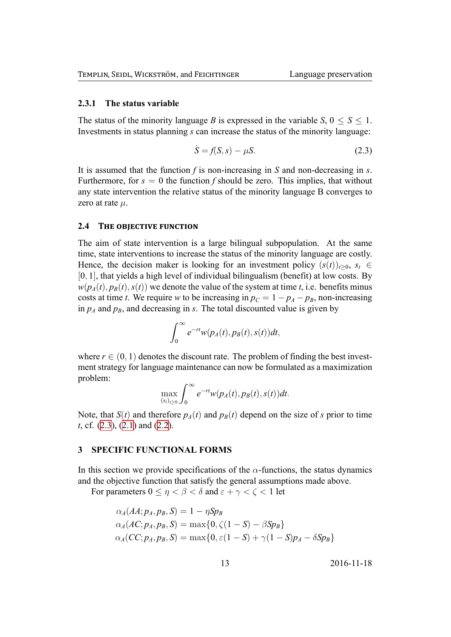#### **2.3.1 The status variable**

The status of the minority language *B* is expressed in the variable *S*,  $0 \leq S \leq 1$ . Investments in status planning *s* can increase the status of the minority language:

<span id="page-13-0"></span>
$$
\dot{S} = f(S, s) - \mu S. \tag{2.3}
$$

It is assumed that the function *f* is non-increasing in *S* and non-decreasing in *s*. Furthermore, for  $s = 0$  the function *f* should be zero. This implies, that without any state intervention the relative status of the minority language B converges to zero at rate *µ*.

#### **2.4 THE OBJECTIVE FUNCTION**

The aim of state intervention is a large bilingual subpopulation. At the same time, state interventions to increase the status of the minority language are costly. Hence, the decision maker is looking for an investment policy  $(s(t))_{t>0}$ ,  $s_t \in$ [0*,* 1], that yields a high level of individual bilingualism (benefit) at low costs. By  $w(p_A(t), p_B(t), s(t))$  we denote the value of the system at time *t*, i.e. benefits minus costs at time *t*. We require *w* to be increasing in  $p_C = 1 - p_A - p_B$ , non-increasing in  $p_A$  and  $p_B$ , and decreasing in *s*. The total discounted value is given by

$$
\int_0^\infty e^{-rt}w(p_A(t),p_B(t),s(t))dt,
$$

where  $r \in (0, 1)$  denotes the discount rate. The problem of finding the best investment strategy for language maintenance can now be formulated as a maximization problem:

$$
\max_{(s_t)_{t\geq 0}} \int_0^\infty e^{-rt} w(p_A(t),p_B(t),s(t))dt.
$$

Note, that  $S(t)$  and therefore  $p_A(t)$  and  $p_B(t)$  depend on the size of *s* prior to time *t*, cf. (2.3), (2.1) and (2.2).

#### **3 SPECIFIC FUNCTIONAL FORMS**

<span id="page-13-1"></span>In thi[s se](#page-13-0)cti[on w](#page-12-1)e pr[ovid](#page-12-2)e specifications of the  $\alpha$ -functions, the status dynamics and the objective function that satisfy the general assumptions made above.

For parameters  $0 \le \eta < \beta < \delta$  and  $\varepsilon + \gamma < \zeta < 1$  let

$$
\alpha_A(AA; p_A, p_B, S) = 1 - \eta S p_B
$$
  
\n
$$
\alpha_A(AC; p_A, p_B, S) = \max\{0, \zeta(1 - S) - \beta S p_B\}
$$
  
\n
$$
\alpha_A(CC; p_A, p_B, S) = \max\{0, \varepsilon(1 - S) + \gamma(1 - S) p_A - \delta S p_B\}
$$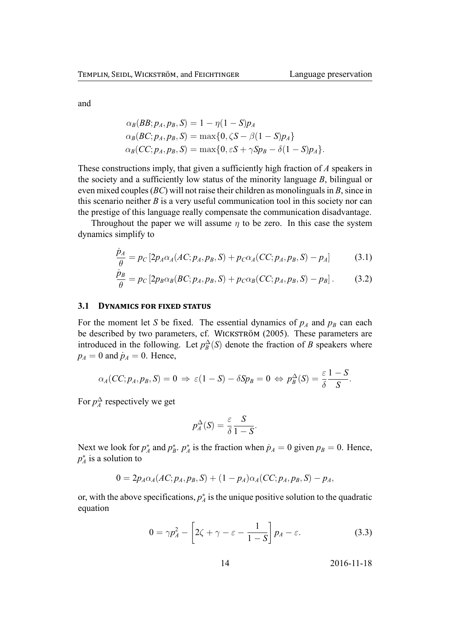and

$$
\alpha_B(BB; p_A, p_B, S) = 1 - \eta (1 - S) p_A
$$
  
\n
$$
\alpha_B(BC; p_A, p_B, S) = \max\{0, \zeta S - \beta (1 - S) p_A\}
$$
  
\n
$$
\alpha_B(CC; p_A, p_B, S) = \max\{0, \varepsilon S + \gamma S p_B - \delta (1 - S) p_A\}.
$$

These constructions imply, that given a sufficiently high fraction of *A* speakers in the society and a sufficiently low status of the minority language *B*, bilingual or even mixed couples (*BC*) will not raise their children as monolinguals in *B*, since in this scenario neither *B* is a very useful communication tool in this society nor can the prestige of this language really compensate the communication disadvantage.

Throughout the paper we will assume *η* to be zero. In this case the system dynamics simplify to

$$
\frac{\dot{p}_A}{\theta} = p_C [2p_A \alpha_A (AC; p_A, p_B, S) + p_C \alpha_A (CC; p_A, p_B, S) - p_A]
$$
(3.1)

$$
\frac{\dot{p}_B}{\theta} = p_C \left[ 2p_B \alpha_B (BC; p_A, p_B, S) + p_C \alpha_B (CC; p_A, p_B, S) - p_B \right]. \tag{3.2}
$$

#### **3.1 DYNAMICS FOR FIXED STATUS**

For the moment let *S* be fixed. The essential dynamics of  $p_A$  and  $p_B$  can each be described by two parameters, cf. WICKSTRÖM (2005). These parameters are introduced in the following. Let  $p_B^{\Delta}(S)$  denote the fraction of *B* speakers where  $p_A = 0$  and  $\dot{p}_A = 0$ . Hence,

$$
\alpha_A(CC; p_A, p_B, S) = 0 \Rightarrow \varepsilon(1 - S) - \delta Sp_B = 0 \Leftrightarrow p_B^{\Delta}(S) = \frac{\varepsilon}{\delta} \frac{1 - S}{S}.
$$

For  $p_A^{\Delta}$  respectively we get

<span id="page-14-1"></span><span id="page-14-0"></span>
$$
p_A^{\Delta}(S) = \frac{\varepsilon}{\delta} \frac{S}{1-S}.
$$

Next we look for  $p_A^*$  and  $p_B^*$ .  $p_A^*$  is the fraction when  $p_A = 0$  given  $p_B = 0$ . Hence, *p*<sup>*∗*</sup><sub>*A*</sub> is a solution to

$$
0 = 2p_A \alpha_A (AC; p_A, p_B, S) + (1 - p_A) \alpha_A (CC; p_A, p_B, S) - p_A,
$$

or, with the above specifications,  $p_A^*$  is the unique positive solution to the quadratic equation

$$
0 = \gamma p_A^2 - \left[2\zeta + \gamma - \varepsilon - \frac{1}{1 - S}\right] p_A - \varepsilon. \tag{3.3}
$$

$$
14 \t\t 2016-11-18
$$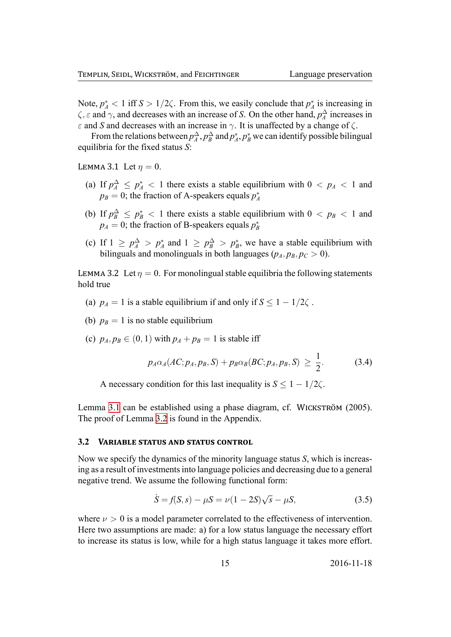Note,  $p_A^* < 1$  iff  $S > 1/2\zeta$ . From this, we easily conclude that  $p_A^*$  is increasing in *ζ*, *ε* and  $\gamma$ , and decreases with an increase of *S*. On the other hand,  $p_A^{\Delta}$  increases in *ε* and *S* and decreases with an increase in  $\gamma$ . It is unaffected by a change of  $\zeta$ .

From the relations between  $p_A^{\Delta}, p_B^{\Delta}$  and  $p_A^*, p_B^*$  we can identify possible bilingual equilibria for the fixed status *S*:

LEMMA 3.1 Let  $\eta = 0$ .

- <span id="page-15-0"></span>(a) If  $p_A^{\Delta} \leq p_A^* < 1$  there exists a stable equilibrium with  $0 < p_A < 1$  and  $p_B = 0$ ; the fraction of A-speakers equals  $p_A^*$
- (b) If  $p_B^{\Delta} \leq p_B^* < 1$  there exists a stable equilibrium with  $0 < p_B < 1$  and  $p_A = 0$ ; the fraction of B-speakers equals  $p_B^*$
- (c) If  $1 \geq p_A^{\Delta} > p_A^*$  and  $1 \geq p_B^{\Delta} > p_B^*$ , we have a stable equilibrium with bilinguals and monolinguals in both languages ( $p_A$ ,  $p_B$ ,  $p_C > 0$ ).

LEMMA 3.2 Let  $\eta = 0$ . For monolingual stable equilibria the following statements hold true

- (a)  $p_A = 1$  is a stable equilibrium if and only if  $S \leq 1 1/2\zeta$ .
- (b)  $p_B = 1$  is no stable equilibrium
- (c)  $p_A, p_B \in (0, 1)$  with  $p_A + p_B = 1$  is stable iff

<span id="page-15-1"></span>
$$
p_A \alpha_A (AC; p_A, p_B, S) + p_B \alpha_B (BC; p_A, p_B, S) \geq \frac{1}{2}.
$$
 (3.4)

A necessary condition for this last inequality is  $S \leq 1 - 1/2\zeta$ .

Lemma 3.1 can be established using a phase diagram, cf. WICKSTRÖM (2005). The proof of Lemma 3.2 is found in the Appendix.

#### 3.2 **VARIABLE STATUS AND STATUS CONTROL**

<span id="page-15-3"></span>Now we specify the [dyna](#page-15-1)mics of the minority language status *S*, which is increasing as a result of investments into language policies and decreasing due to a general negative trend. We assume the following functional form:

<span id="page-15-2"></span>
$$
\dot{S} = f(S, s) - \mu S = \nu (1 - 2S)\sqrt{s} - \mu S,
$$
\n(3.5)

where  $\nu > 0$  is a model parameter correlated to the effectiveness of intervention. Here two assumptions are made: a) for a low status language the necessary effort to increase its status is low, while for a high status language it takes more effort.

$$
15 \t\t 2016-11-18
$$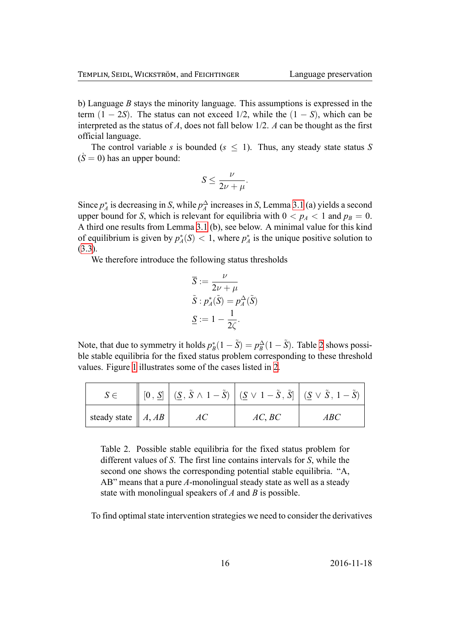b) Language *B* stays the minority language. This assumptions is expressed in the term  $(1 - 2S)$ . The status can not exceed 1/2, while the  $(1 - S)$ , which can be interpreted as the status of *A*, does not fall below 1/2. *A* can be thought as the first official language.

The control variable *s* is bounded ( $s \leq 1$ ). Thus, any steady state status *S*  $(S = 0)$  has an upper bound:

$$
S \leq \frac{\nu}{2\nu + \mu}.
$$

Since  $p_A^*$  is decreasing in *S*, while  $p_A^{\Delta}$  increases in *S*, Lemma 3.1 (a) yields a second upper bound for *S*, which is relevant for equilibria with  $0 < p_A < 1$  and  $p_B = 0$ . A third one results from Lemma 3.1 (b), see below. A minimal value for this kind of equilibrium is given by  $p_A^*(S) < 1$ , where  $p_A^*$  is the uniq[ue p](#page-15-0)ositive solution to (3.3).

We therefore introduce the f[ollow](#page-15-0)ing status thresholds

$$
\overline{S} := \frac{\nu}{2\nu + \mu} \n\tilde{S} : p_A^*(\tilde{S}) = p_A^{\Delta}(\tilde{S}) \n\underline{S} := 1 - \frac{1}{2\zeta}.
$$

Note, that due to symmetry it holds  $p_B^*(1 - \tilde{S}) = p_B^{\Delta}(1 - \tilde{S})$ . Table 2 shows possible stable equilibria for the fixed status problem corresponding to these threshold values. Figure 1 illustrates some of the cases listed in 2.

<span id="page-16-0"></span>

|                                      | $[0, \underline{S}] \mid (\underline{S}, \tilde{S} \wedge 1 - \tilde{S}) \mid (\underline{S} \vee 1 - \tilde{S}, \tilde{S}] \mid (\underline{S} \vee \tilde{S}, 1 - \tilde{S})$ |        |     |
|--------------------------------------|---------------------------------------------------------------------------------------------------------------------------------------------------------------------------------|--------|-----|
| steady state $   A, AB$ <sup>+</sup> |                                                                                                                                                                                 | AC, BC | ABC |

Table 2. Possible stable equilibria for the fixed status problem for different values of *S*. The first line contains intervals for *S*, while the second one shows the corresponding potential stable equilibria. "A, AB" means that a pure *A*-monolingual steady state as well as a steady state with monolingual speakers of *A* and *B* is possible.

To find optimal state intervention strategies we need to consider the derivatives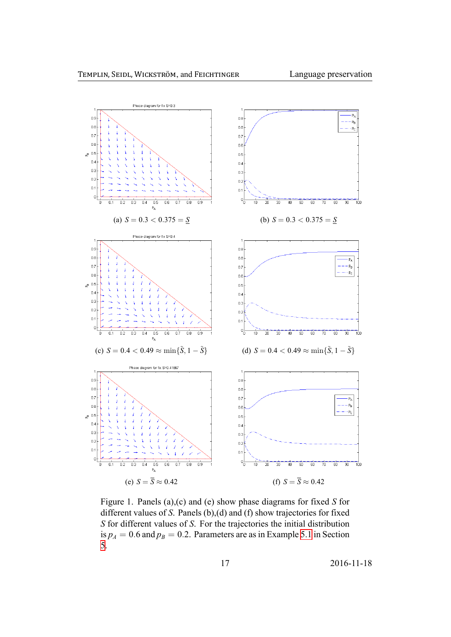

Figure 1. Panels (a),(c) and (e) show phase diagrams for fixed *S* for different values of *S*. Panels (b),(d) and (f) show trajectories for fixed *S* for different values of *S*. For the trajectories the initial distribution is  $p_A = 0.6$  and  $p_B = 0.2$ . Parameters are as in Example 5.1 in Section 5.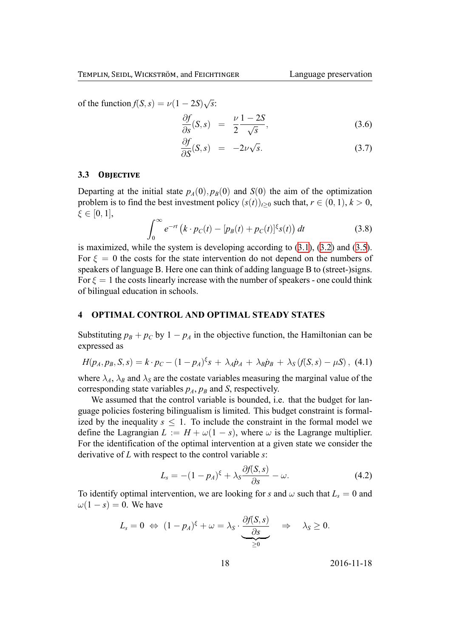of the function  $f(S, s) = \nu(1 - 2S)$ *√ s*:

$$
\frac{\partial f}{\partial s}(S,s) = \frac{\nu}{2} \frac{1-2S}{\sqrt{s}},\tag{3.6}
$$

$$
\frac{\partial f}{\partial S}(S,s) = -2\nu\sqrt{s}.\tag{3.7}
$$

#### **3.3 OBJECTIVE**

Departing at the initial state  $p_A(0), p_B(0)$  and  $S(0)$  the aim of the optimization problem is to find the best investment policy  $(s(t))_{t\geq0}$  such that,  $r \in (0, 1)$ ,  $k > 0$ , *ξ ∈* [0*,* 1],

$$
\int_0^\infty e^{-rt} \left( k \cdot p_C(t) - [p_B(t) + p_C(t)]^{\xi} s(t) \right) dt \tag{3.8}
$$

is maximized, while the system is developing according to (3.1), (3.2) and (3.5). For  $\xi = 0$  the costs for the state intervention do not depend on the numbers of speakers of language B. Here one can think of adding language B to (street-)signs. For  $\xi = 1$  the costs linearly increase with the number of spea[kers](#page-14-0) - [one c](#page-14-1)ould [thin](#page-15-2)k of bilingual education in schools.

#### **4 OPTIMAL CONTROL AND OPTIMAL STEADY STATES**

Substituting  $p_B + p_C$  by  $1 - p_A$  in the objective function, the Hamiltonian can be expressed as

$$
H(p_A, p_B, S, s) = k \cdot p_C - (1 - p_A)^{\xi} s + \lambda_A \dot{p}_A + \lambda_B \dot{p}_B + \lambda_S (f(S, s) - \mu S), \quad (4.1)
$$

where  $\lambda_A$ ,  $\lambda_B$  and  $\lambda_S$  are the costate variables measuring the marginal value of the corresponding state variables  $p_A$ ,  $p_B$  and *S*, respectively.

We assumed that the control variable is bounded, i.e. that the budget for language policies fostering bilingualism is limited. This budget constraint is formalized by the inequality  $s \leq 1$ . To include the constraint in the formal model we define the Lagrangian  $L := H + \omega(1 - s)$ , where  $\omega$  is the Lagrange multiplier. For the identification of the optimal intervention at a given state we consider the derivative of *L* with respect to the control variable *s*:

$$
L_s = -(1 - p_A)^{\xi} + \lambda_s \frac{\partial f(S, s)}{\partial s} - \omega.
$$
 (4.2)

To identify optimal intervention, we are looking for *s* and  $\omega$  such that  $L_s = 0$  and  $\omega(1-s) = 0$ . We have

$$
L_s = 0 \Leftrightarrow (1 - p_A)^{\xi} + \omega = \lambda_S \cdot \underbrace{\frac{\partial f(S, s)}{\partial s}}_{\geq 0} \Rightarrow \lambda_S \geq 0.
$$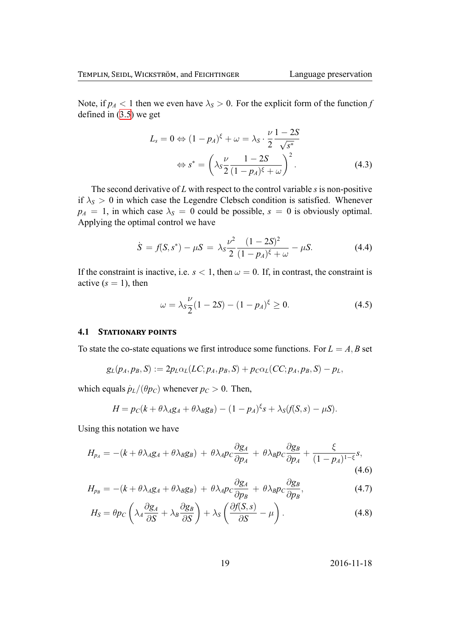Note, if  $p_A < 1$  then we even have  $\lambda_S > 0$ . For the explicit form of the function f defined in  $(3.5)$  we get

$$
L_s = 0 \Leftrightarrow (1 - p_A)^{\xi} + \omega = \lambda_s \cdot \frac{\nu}{2} \frac{1 - 2S}{\sqrt{s^*}}
$$

$$
\Leftrightarrow s^* = \left(\lambda_s \frac{\nu}{2} \frac{1 - 2S}{(1 - p_A)^{\xi} + \omega}\right)^2.
$$
(4.3)

The second derivative of  $L$  with respect to the control variable  $s$  is non-positive if  $\lambda_s > 0$  in which case the Legendre Clebsch condition is satisfied. Whenever  $p_A = 1$ , in which case  $\lambda_s = 0$  could be possible,  $s = 0$  is obviously optimal. Applying the optimal control we have

$$
\dot{S} = f(S, s^*) - \mu S = \lambda_S \frac{\nu^2}{2} \frac{(1 - 2S)^2}{(1 - p_A)\xi + \omega} - \mu S. \tag{4.4}
$$

If the constraint is inactive, i.e.  $s < 1$ , then  $\omega = 0$ . If, in contrast, the constraint is active  $(s = 1)$ , then

<span id="page-19-0"></span>
$$
\omega = \lambda_S \frac{\nu}{2} (1 - 2S) - (1 - p_A)^{\xi} \ge 0. \tag{4.5}
$$

#### **STATIONARY POINTS** 4.1

To state the co-state equations we first introduce some functions. For  $L = A, B$  set

$$
g_L(p_A, p_B, S) := 2p_L\alpha_L(LC; p_A, p_B, S) + p_C\alpha_L(CC; p_A, p_B, S) - p_L,
$$

which equals  $\dot{p}_L/(\theta p_C)$  whenever  $p_C > 0$ . Then,

$$
H = p_C(k + \theta \lambda_A g_A + \theta \lambda_B g_B) - (1 - p_A)^{\xi} s + \lambda_S(f(S, s) - \mu S).
$$

Using this notation we have

$$
H_{p_A} = -(k + \theta \lambda_A g_A + \theta \lambda_B g_B) + \theta \lambda_A p_C \frac{\partial g_A}{\partial p_A} + \theta \lambda_B p_C \frac{\partial g_B}{\partial p_A} + \frac{\xi}{(1 - p_A)^{1 - \xi}} s,
$$
\n(4.6)

$$
H_{p_B} = -(k + \theta \lambda_A g_A + \theta \lambda_B g_B) + \theta \lambda_A p_C \frac{\partial g_A}{\partial p_B} + \theta \lambda_B p_C \frac{\partial g_B}{\partial p_B},
$$
(4.7)

$$
H_S = \theta p_C \left( \lambda_A \frac{\partial g_A}{\partial S} + \lambda_B \frac{\partial g_B}{\partial S} \right) + \lambda_S \left( \frac{\partial f(S, s)}{\partial S} - \mu \right). \tag{4.8}
$$

 $2016 - 11 - 18$ 

19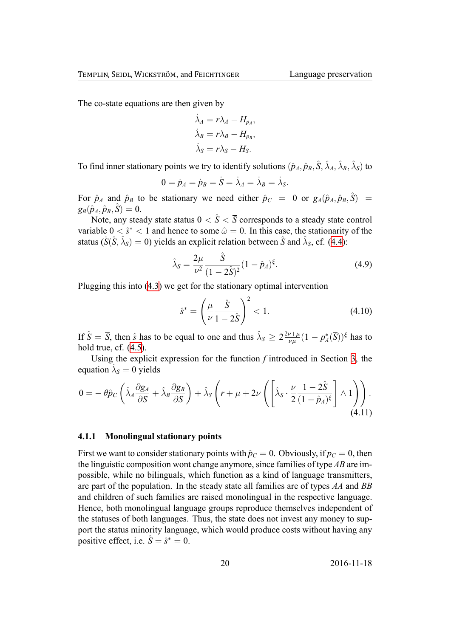The co-state equations are then given by

$$
\dot{\lambda}_A = r\lambda_A - H_{p_A},
$$
  

$$
\dot{\lambda}_B = r\lambda_B - H_{p_B},
$$
  

$$
\dot{\lambda}_S = r\lambda_S - H_S.
$$

To find inner stationary points we try to identify solutions  $(\hat{p}_A, \hat{p}_B, \hat{S}, \hat{\lambda}_A, \hat{\lambda}_B, \hat{\lambda}_S)$  to

$$
0=\dot{p}_A=\dot{p}_B=\dot{S}=\dot{\lambda}_A=\dot{\lambda}_B=\dot{\lambda}_S.
$$

For  $\hat{p}_A$  and  $\hat{p}_B$  to be stationary we need either  $\hat{p}_C = 0$  or  $g_A(\hat{p}_A, \hat{p}_B, \hat{S}) =$  $g_B(\hat{p}_A, \hat{p}_B, \hat{S}) = 0.$ 

Note, any steady state status  $0 < \hat{S} < \overline{S}$  corresponds to a steady state control variable  $0 < \hat{s}^* < 1$  and hence to some  $\hat{\omega} = 0$ . In this case, the stationarity of the status ( $\dot{S}(\hat{S}, \hat{\lambda}_S) = 0$ ) yields an explicit relation between  $\hat{S}$  and  $\hat{\lambda}_S$ , cf. (4.4):

$$
\hat{\lambda}_S = \frac{2\mu}{\nu^2} \frac{\hat{S}}{(1 - 2\hat{S})^2} (1 - \hat{p}_A)^{\xi}.
$$
\n(4.9)

Plugging this into (4.3) we get for the stationary optimal intervention

<span id="page-20-1"></span><span id="page-20-0"></span>
$$
\hat{s}^* = \left(\frac{\mu}{\nu} \frac{\hat{S}}{1 - 2\hat{S}}\right)^2 < 1. \tag{4.10}
$$

If  $\hat{S} = \overline{S}$ , then  $\hat{s}$  has to be equal to one and thus  $\hat{\lambda}_S \geq 2 \frac{2\nu + \mu}{\nu}$  $\frac{\partial \nu + \mu}{\partial \mu} (1 - p_A^*(\overline{S}))^{\xi}$  has to hold true, cf.  $(4.5)$ .

Using the explicit expression for the function *f* introduced in Section 3, the equation  $\lambda_s = 0$  yields

$$
0 = -\theta \hat{p}_C \left( \hat{\lambda}_A \frac{\partial g_A}{\partial S} + \hat{\lambda}_B \frac{\partial g_B}{\partial S} \right) + \hat{\lambda}_S \left( r + \mu + 2\nu \left( \left[ \hat{\lambda}_S \cdot \frac{\nu}{2} \frac{1 - 2\hat{S}}{(1 - \hat{p}_A)^{\xi}} \right] \wedge 1 \right) \right).
$$
\n(4.11)

#### **4.1.1 Monolingual stationary points**

First we want to consider stationary points with  $\hat{p}_C = 0$ . Obviously, if  $p_C = 0$ , then the linguistic composition wont change anymore, since families of type *AB* are impossible, while no bilinguals, which function as a kind of language transmitters, are part of the population. In the steady state all families are of types *AA* and *BB* and children of such families are raised monolingual in the respective language. Hence, both monolingual language groups reproduce themselves independent of the statuses of both languages. Thus, the state does not invest any money to support the status minority language, which would produce costs without having any positive effect, i.e.  $\hat{S} = \hat{s}^* = 0$ .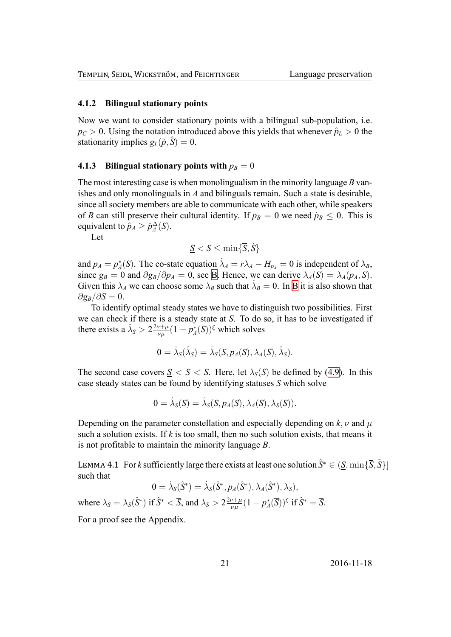#### **4.1.2 Bilingual stationary points**

Now we want to consider stationary points with a bilingual sub-population, i.e.  $p_C > 0$ . Using the notation introduced above this yields that whenever  $\hat{p}_L > 0$  the stationarity implies  $g_L(\hat{p}, \hat{S}) = 0$ .

#### **4.1.3 Bilingual stationary points with**  $p_B = 0$

The most interesting case is when monolingualism in the minority language *B* vanishes and only monolinguals in *A* and bilinguals remain. Such a state is desirable, since all society members are able to communicate with each other, while speakers of *B* can still preserve their cultural identity. If  $p_B = 0$  we need  $p_B \le 0$ . This is equivalent to  $\hat{p}_A \ge \hat{p}_A^{\Delta}(S)$ .

Let

$$
\underline{S} < S \leq \min\{\overline{S}, \tilde{S}\}
$$

and  $p_A = p_A^*(S)$ . The co-state equation  $\dot{\lambda}_A = r\lambda_A - H_{p_A} = 0$  is independent of  $\lambda_B$ , since  $g_B = 0$  and  $\partial g_B / \partial p_A = 0$ , see B. Hence, we can derive  $\lambda_A(S) = \lambda_A(p_A, S)$ . Given this  $\lambda_A$  we can choose some  $\lambda_B$  such that  $\lambda_B = 0$ . In B it is also shown that  $\partial g_B / \partial S = 0$ .

To identify optimal steady states [we](#page-32-0) have to distinguish two possibilities. First we can check if there is a steady state at  $\overline{S}$ . To do so, it h[as](#page-32-0) to be investigated if there exists a  $\hat{\lambda}_s > 2 \frac{2\nu + \mu}{\nu u}$  $\frac{\partial^2 \psi}{\partial \mu^2} (1 - p_A^*(\overline{S}))^{\xi}$  which solves

$$
0 = \dot{\lambda}_S(\hat{\lambda}_S) = \dot{\lambda}_S(\overline{S}, p_A(\overline{S}), \lambda_A(\overline{S}), \hat{\lambda}_S).
$$

The second case covers  $S \le S \le \overline{S}$ . Here, let  $\lambda_S(S)$  be defined by (4.9). In this case steady states can be found by identifying statuses *S* which solve

$$
0 = \dot{\lambda}_S(S) = \dot{\lambda}_S(S, p_A(S), \lambda_A(S), \lambda_S(S)).
$$

Depending on the parameter constellation and especially depending on  $k, \nu$  and  $\mu$ such a solution exists. If  $k$  is too small, then no such solution exists, that means it is not profitable to maintain the minority language *B*.

LEMMA 4.1 For *k* sufficiently large there exists at least one solution  $\hat{S}^* \in (\underline{S}, \min\{\overline{S}, \tilde{S}\})$ such that

$$
0 = \dot{\lambda}_S(\hat{S}^*) = \dot{\lambda}_S(\hat{S}^*, p_A(\hat{S}^*), \lambda_A(\hat{S}^*), \lambda_S),
$$

<span id="page-21-0"></span>where  $\lambda_S = \lambda_S(\hat{S}^*)$  if  $\hat{S}^* < \overline{S}$ , and  $\lambda_S > 2 \frac{2\nu + \mu}{\nu L}$  $\frac{\partial u + \mu}{\partial \mu}(1 - p_A^*(\bar{S}))^{\xi}$  if  $\hat{S}^* = \bar{S}$ .

For a proof see the Appendix.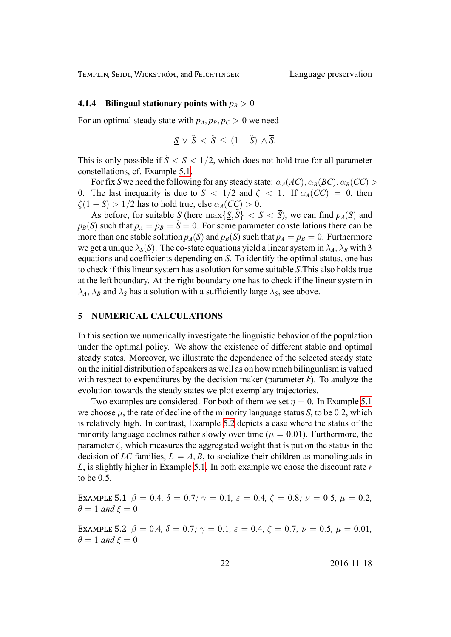#### **4.1.4 Bilingual stationary points with**  $p_B > 0$

For an optimal steady state with  $p_A$ ,  $p_B$ ,  $p_C > 0$  we need

$$
\underline{S} \vee \tilde{S} < \hat{S} \le (1 - \tilde{S}) \wedge \overline{S}.
$$

This is only possible if  $\tilde{S} < \overline{S} < 1/2$ , which does not hold true for all parameter constellations, cf. Example 5.1.

For fix *S* we need the following for any steady state:  $\alpha_A(AC), \alpha_B(BC), \alpha_B(CC)$ 0. The last inequality is due to  $S < 1/2$  and  $\zeta < 1$ . If  $\alpha_A(CC) = 0$ , then  $\zeta(1-S) > 1/2$  has to hold [true](#page-22-0), else  $\alpha_A(CC) > 0$ .

As before, for suitable *S* (here  $\max\{\underline{S}, \overline{S}\} < S < \overline{S}$ ), we can find  $p_A(S)$  and  $p_B(S)$  such that  $\dot{p}_A = \dot{p}_B = S = 0$ . For some parameter constellations there can be more than one stable solution  $p_A(S)$  and  $p_B(S)$  such that  $\dot{p}_A = \dot{p}_B = 0$ . Furthermore we get a unique  $\lambda_S(S)$ . The co-state equations yield a linear system in  $\lambda_A$ ,  $\lambda_B$  with 3 equations and coefficients depending on *S*. To identify the optimal status, one has to check if this linear system has a solution for some suitable *S*.This also holds true at the left boundary. At the right boundary one has to check if the linear system in  $\lambda_A$ ,  $\lambda_B$  and  $\lambda_S$  has a solution with a sufficiently large  $\lambda_S$ , see above.

#### **5 NUMERICAL CALCULATIONS**

In this section we numerically investigate the linguistic behavior of the population under the optimal policy. We show the existence of different stable and optimal steady states. Moreover, we illustrate the dependence of the selected steady state on the initial distribution of speakers as well as on how much bilingualism is valued with respect to expenditures by the decision maker (parameter *k*). To analyze the evolution towards the steady states we plot exemplary trajectories.

Two examples are considered. For both of them we set  $\eta = 0$ . In Example 5.1 we choose  $\mu$ , the rate of decline of the minority language status *S*, to be 0.2, which is relatively high. In contrast, Example 5.2 depicts a case where the status of the minority language declines rather slowly over time ( $\mu = 0.01$ ). Furthermore, [the](#page-22-0) parameter  $\zeta$ , which measures the aggregated weight that is put on the status in the decision of *LC* families,  $L = A$ , *B*, to s[ocia](#page-22-1)lize their children as monolinguals in *L*, is slightly higher in Example 5.1. In both example we chose the discount rate *r* to be 0*.*5.

EXAMPLE 5.1  $\beta = 0.4$ ,  $\delta = 0.7$ ;  $\gamma = 0.1$ ,  $\varepsilon = 0.4$ ,  $\zeta = 0.8$ ;  $\nu = 0.5$ ,  $\mu = 0.2$ ,  $\theta = 1$  *and*  $\xi = 0$ 

<span id="page-22-1"></span><span id="page-22-0"></span>EXAMPLE 5.2  $\beta = 0.4$ ,  $\delta = 0.7$ ;  $\gamma = 0.1$ ,  $\varepsilon = 0.4$ ,  $\zeta = 0.7$ ;  $\nu = 0.5$ ,  $\mu = 0.01$ ,  $\theta = 1$  *and*  $\xi = 0$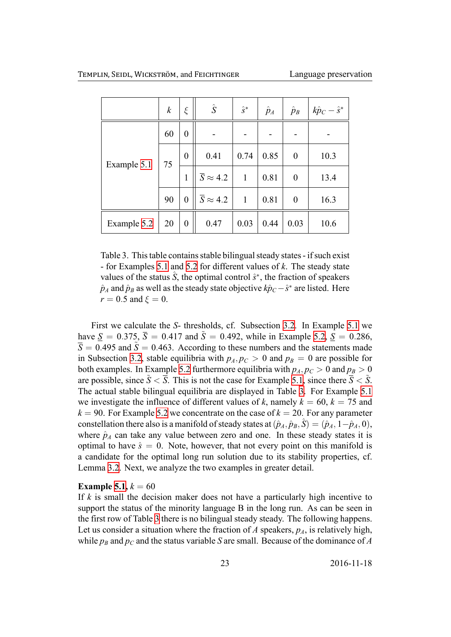<span id="page-23-0"></span>

|             | $\boldsymbol{k}$ | ξ                | $\hat{S}$                  | $\hat{S}^*$  | $\hat{p}_A$ | $\hat{p}_B$      | $k\hat{p}_C - \hat{s}^*$ |
|-------------|------------------|------------------|----------------------------|--------------|-------------|------------------|--------------------------|
| Example 5.1 | 60               | $\boldsymbol{0}$ |                            |              |             |                  |                          |
|             | 75               | $\overline{0}$   | 0.41                       | 0.74         | 0.85        | $\boldsymbol{0}$ | 10.3                     |
|             |                  | 1                | $\overline{S} \approx 4.2$ | $\mathbf{1}$ | 0.81        | $\boldsymbol{0}$ | 13.4                     |
|             | 90               | $\overline{0}$   | $\overline{S} \approx 4.2$ | $\mathbf{1}$ | 0.81        | $\boldsymbol{0}$ | 16.3                     |
| Example 5.2 | 20               | $\boldsymbol{0}$ | 0.47                       | 0.03         | 0.44        | 0.03             | 10.6                     |

Table 3. T[his ta](#page-22-1)ble contains stable bilingual steady states - if such exist - for Examples 5.1 and 5.2 for different values of *k*. The steady state values of the status  $\hat{S}$ , the optimal control  $\hat{s}^*$ , the fraction of speakers  $\hat{p}_A$  and  $\hat{p}_B$  as well as the steady state objective  $k\hat{p}_C$ *−*  $\hat{s}^*$  are listed. Here  $r = 0.5$  $r = 0.5$  $r = 0.5$  and  $\xi = 0$ .

First we calculate the *S*- thresholds, cf. Subsection 3.2. In Example 5.1 we have  $S = 0.375$ ,  $\bar{S} = 0.417$  and  $\tilde{S} = 0.492$ , while in Example 5.2,  $S = 0.286$ ,  $\overline{S} = 0.495$  and  $\tilde{S} = 0.463$ . According to these numbers and the statements made in Subsection 3.2, stable equilibria with  $p_A$  $p_A$ ,  $p_C > 0$  and  $p_B = 0$  are poss[ible](#page-22-0) for both examples. In Example 5.2 furthermore equilibria with  $p_A$ ,  $p_C > 0$  $p_C > 0$  $p_C > 0$  and  $p_B > 0$ are possible, since  $\tilde{S} < \overline{S}$ . This is not the case for Example 5.1, since there  $\overline{S} < \tilde{S}$ . The actual sta[ble](#page-15-3) bilingual equilibria are displayed in Table 3. For Example 5.1 we investigate the influenc[e of](#page-22-1) different values of  $k$ , namely  $k = 60$ ,  $k = 75$  and  $k = 90$ . For Example 5.2 we concentrate on the case of  $k = 20$ . For any parameter constellation there also is a manifold of steady states at  $(\hat{p}_A, \hat{p}_B, \hat{S}) = (\hat{p}_A, 1 - \hat{p}_A, 0)$ , where  $\hat{p}_A$  can take any value between zero and one. In the[se](#page-23-0) steady states [it is](#page-22-0) optimal to have  $\hat{s} = 0$ . Note, however, that not every point on this manifold is a candidate for the optimal long run solution due to its stability properties, cf. Lemma 3.2. Next, we analyze the two examples in greater detail.

#### **Example 5.1,**  $k = 60$

If *k* is small the decision maker does not have a particularly high incentive to support [the](#page-15-1) status of the minority language B in the long run. As can be seen in the first r[ow o](#page-22-0)f Table 3 there is no bilingual steady steady. The following happens. Let us consider a situation where the fraction of  $A$  speakers,  $p_A$ , is relatively high, while  $p_B$  and  $p_C$  and the status variable *S* are small. Because of the dominance of *A*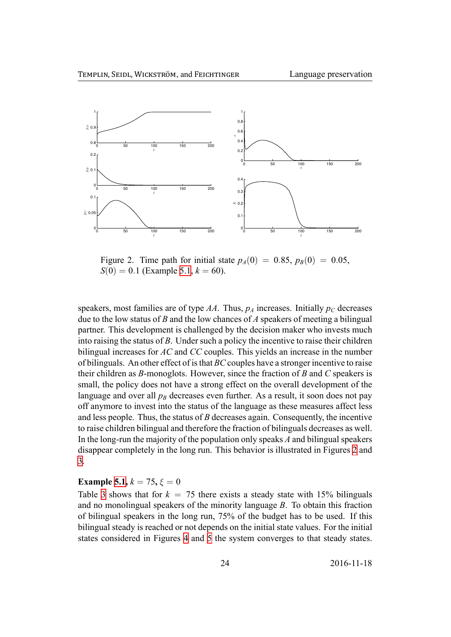<span id="page-24-0"></span>

Figure 2. Time path for initial state  $p_A(0) = 0.85$ ,  $p_B(0) = 0.05$ ,  $S(0) = 0.1$  (Example 5.1,  $k = 60$ ).

speakers, most families are [of t](#page-22-0)ype  $AA$ . Thus,  $p_A$  increases. Initially  $p_C$  decreases due to the low status of *B* and the low chances of *A* speakers of meeting a bilingual partner. This development is challenged by the decision maker who invests much into raising the status of *B*. Under such a policy the incentive to raise their children bilingual increases for *AC* and *CC* couples. This yields an increase in the number of bilinguals. An other effect of is that *BC* couples have a stronger incentive to raise their children as *B*-monoglots. However, since the fraction of *B* and *C* speakers is small, the policy does not have a strong effect on the overall development of the language and over all  $p_B$  decreases even further. As a result, it soon does not pay off anymore to invest into the status of the language as these measures affect less and less people. Thus, the status of *B* decreases again. Consequently, the incentive to raise children bilingual and therefore the fraction of bilinguals decreases as well. In the long-run the majority of the population only speaks *A* and bilingual speakers disappear completely in the long run. This behavior is illustrated in Figures 2 and 3.

#### **Example 5.1,**  $k = 75$ ,  $\xi = 0$

[T](#page-25-0)able 3 shows that for  $k = 75$  there exists a steady state with 15% bili[ng](#page-24-0)uals and no monolingual speakers of the minority language *B*. To obtain this fraction of bilingu[al s](#page-22-0)peakers in the long run, 75% of the budget has to be used. If this biling[ua](#page-23-0)l steady is reached or not depends on the initial state values. For the initial states considered in Figures 4 and 5 the system converges to that steady states.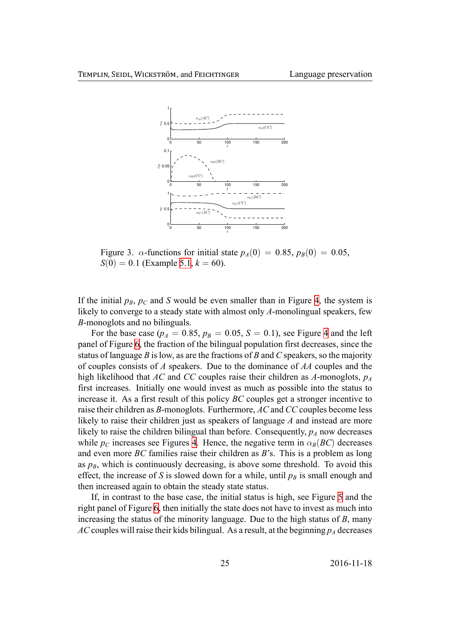<span id="page-25-0"></span>

Figure 3. *α*-functions for initial state  $p_A(0) = 0.85$ ,  $p_B(0) = 0.05$ ,  $S(0) = 0.1$  (Example 5.1,  $k = 60$ ).

If the initial  $p_B$ ,  $p_C$  and *S* [woul](#page-22-0)d be even smaller than in Figure 4, the system is likely to converge to a steady state with almost only *A*-monolingual speakers, few *B*-monoglots and no bilinguals.

For the base case ( $p_A = 0.85$ ,  $p_B = 0.05$ ,  $S = 0.1$ ), see Figu[re](#page-26-0) 4 and the left panel of Figure 6, the fraction of the bilingual population first decreases, since the status of language *B* is low, as are the fractions of *B* and *C* speakers, so the majority of couples consists of *A* speakers. Due to the dominance of *AA* c[oup](#page-26-0)les and the high likelihood [th](#page-27-0)at *AC* and *CC* couples raise their children as *A*-monoglots, *p<sup>A</sup>* first increases. Initially one would invest as much as possible into the status to increase it. As a first result of this policy *BC* couples get a stronger incentive to raise their children as *B*-monoglots. Furthermore, *AC* and *CC* couples become less likely to raise their children just as speakers of language *A* and instead are more likely to raise the children bilingual than before. Consequently,  $p_A$  now decreases while  $p_C$  increases see Figures 4. Hence, the negative term in  $\alpha_B(BC)$  decreases and even more *BC* families raise their children as *B*'s. This is a problem as long as  $p_B$ , which is continuously decreasing, is above some threshold. To avoid this effect, the increase of *S* is slow[ed](#page-26-0) down for a while, until  $p_B$  is small enough and then increased again to obtain the steady state status.

If, in contrast to the base case, the initial status is high, see Figure 5 and the right panel of Figure 6, then initially the state does not have to invest as much into increasing the status of the minority language. Due to the high status of *B*, many *AC* couples will raise their kids bilingual. As a result, at the beginning  $p_A$  [de](#page-27-1)creases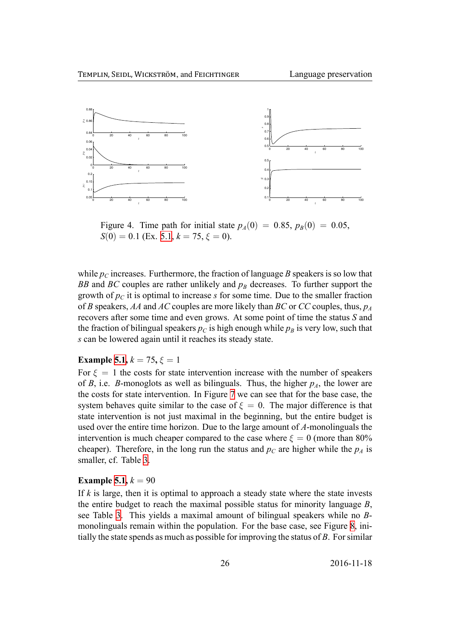<span id="page-26-0"></span>

Figure 4. Time path for initial state  $p_A(0) = 0.85$ ,  $p_B(0) = 0.05$ ,  $S(0) = 0.1$  (Ex. 5.1,  $k = 75$ ,  $\xi = 0$ ).

while  $p_C$  increases. Fu[rthe](#page-22-0)rmore, the fraction of language *B* speakers is so low that *BB* and *BC* couples are rather unlikely and  $p_B$  decreases. To further support the growth of  $p<sub>C</sub>$  it is optimal to increase *s* for some time. Due to the smaller fraction of *B* speakers, *AA* and *AC* couples are more likely than *BC* or *CC* couples, thus, *p<sup>A</sup>* recovers after some time and even grows. At some point of time the status *S* and the fraction of bilingual speakers  $p_C$  is high enough while  $p_B$  is very low, such that *s* can be lowered again until it reaches its steady state.

#### **Example 5.1,**  $k = 75$ ,  $\xi = 1$

For  $\xi = 1$  the costs for state intervention increase with the number of speakers of *B*, i.e. *B*-monoglots as well as bilinguals. Thus, the higher  $p_A$ , the lower are the costs [for s](#page-22-0)tate intervention. In Figure 7 we can see that for the base case, the system behaves quite similar to the case of  $\xi = 0$ . The major difference is that state intervention is not just maximal in the beginning, but the entire budget is used over the entire time horizon. Due to [th](#page-28-0)e large amount of *A*-monolinguals the intervention is much cheaper compared to the case where  $\xi = 0$  (more than 80%) cheaper). Therefore, in the long run the status and  $p<sub>C</sub>$  are higher while the  $p<sub>A</sub>$  is smaller, cf. Table 3.

#### **Example 5.1,**  $k = 90$

If *k* is large, then [it](#page-23-0) is optimal to approach a steady state where the state invests the entire budget to reach the maximal possible status for minority language *B*, see Table [3.](#page-22-0) This yields a maximal amount of bilingual speakers while no *B*monolinguals remain within the population. For the base case, see Figure 8, initially the state spends as much as possible for improving the status of *B*. For similar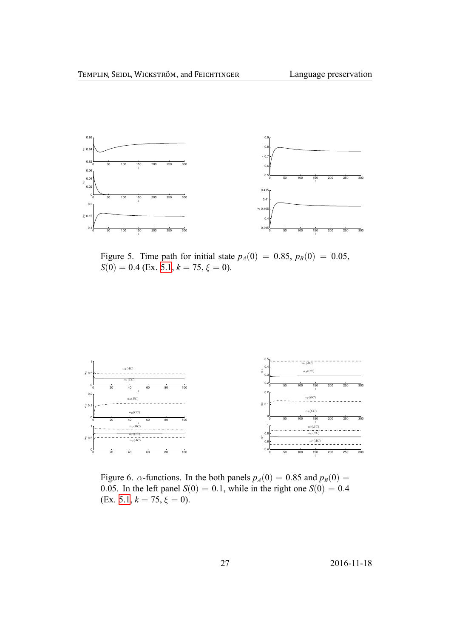<span id="page-27-1"></span>

Figure 5. Time path for initial state  $p_A(0) = 0.85$ ,  $p_B(0) = 0.05$ ,  $S(0) = 0.4$  (Ex. 5.1,  $k = 75$ ,  $\xi = 0$ ).

<span id="page-27-0"></span>

Figure 6. *α*-functions. In the both panels  $p_A(0) = 0.85$  and  $p_B(0) = 0$ 0.05. In the left panel  $S(0) = 0.1$ , while in the right one  $S(0) = 0.4$  $(Ex. 5.1, k = 75, \xi = 0).$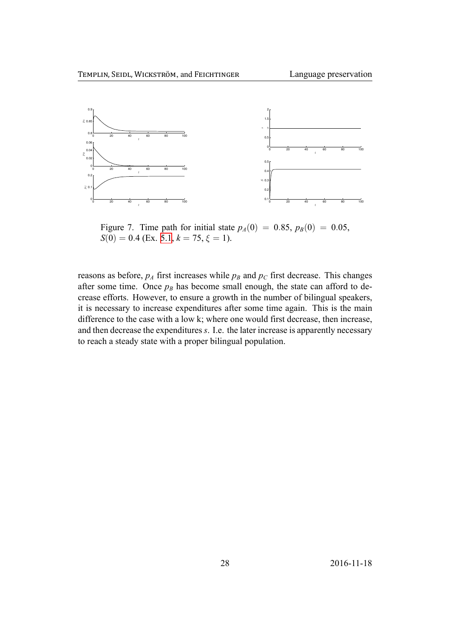<span id="page-28-0"></span>

Figure 7. Time path for initial state  $p_A(0) = 0.85$ ,  $p_B(0) = 0.05$ ,  $S(0) = 0.4$  (Ex. 5.1,  $k = 75$ ,  $\xi = 1$ ).

reasons as before,  $p_A$  f[irst](#page-22-0) increases while  $p_B$  and  $p_C$  first decrease. This changes after some time. Once  $p_B$  has become small enough, the state can afford to decrease efforts. However, to ensure a growth in the number of bilingual speakers, it is necessary to increase expenditures after some time again. This is the main difference to the case with a low k; where one would first decrease, then increase, and then decrease the expenditures *s*. I.e. the later increase is apparently necessary to reach a steady state with a proper bilingual population.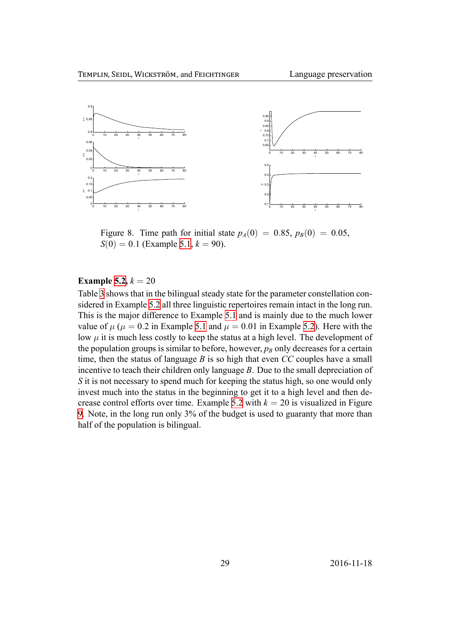<span id="page-29-0"></span>

Figure 8. Time path for initial state  $p_A(0) = 0.85$ ,  $p_B(0) = 0.05$ ,  $S(0) = 0.1$  (Example 5.1,  $k = 90$ ).

#### **Example 5.2,**  $k = 20$

Table 3 shows that in the bilingual steady state for the parameter constellation considered in Example 5.2 all three linguistic repertoires remain intact in the long run. This is th[e ma](#page-22-1)jor difference to Example 5.1 and is mainly due to the much lower value [of](#page-23-0)  $\mu$  ( $\mu = 0.2$  in Example 5.1 and  $\mu = 0.01$  in Example 5.2). Here with the low  $\mu$  it is much les[s co](#page-22-1)stly to keep the status at a high level. The development of the population groups is similar to befor[e, ho](#page-22-0)wever,  $p_B$  only decreases for a certain time, then the status of language *B* is so high that even *CC* c[oupl](#page-22-1)es have a small incentive to teach their children [only](#page-22-0) language *B*. Due to the small depreciation of *S* it is not necessary to spend much for keeping the status high, so one would only invest much into the status in the beginning to get it to a high level and then decrease control efforts over time. Example 5.2 with  $k = 20$  is visualized in Figure 9. Note, in the long run only 3% of the budget is used to guaranty that more than half of the population is bilingual.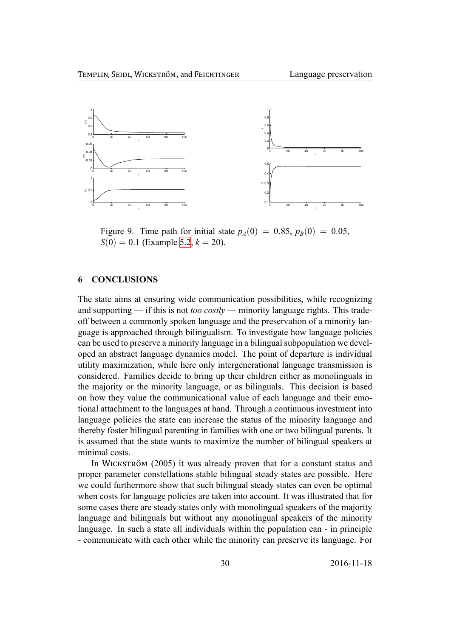

Figure 9. Time path for initial state  $p_A(0) = 0.85$ ,  $p_B(0) = 0.05$ ,  $S(0) = 0.1$  (Example 5.2,  $k = 20$ ).

#### **6 CONCLUSIONS**

The state aims at ensuring wide communication possibilities, while recognizing and supporting — if this is not *too costly* — minority language rights. This tradeoff between a commonly spoken language and the preservation of a minority language is approached through bilingualism. To investigate how language policies can be used to preserve a minority language in a bilingual subpopulation we developed an abstract language dynamics model. The point of departure is individual utility maximization, while here only intergenerational language transmission is considered. Families decide to bring up their children either as monolinguals in the majority or the minority language, or as bilinguals. This decision is based on how they value the communicational value of each language and their emotional attachment to the languages at hand. Through a continuous investment into language policies the state can increase the status of the minority language and thereby foster bilingual parenting in families with one or two bilingual parents. It is assumed that the state wants to maximize the number of bilingual speakers at minimal costs.

In WICKSTRÖM (2005) it was already proven that for a constant status and proper parameter constellations stable bilingual steady states are possible. Here we could furthermore show that such bilingual steady states can even be optimal when costs for language policies are taken into account. It was illustrated that for some cases there are steady states only with monolingual speakers of the majority language and bilinguals but without any monolingual speakers of the minority language. In such a state all individuals within the population can - in principle - communicate with each other while the minority can preserve its language. For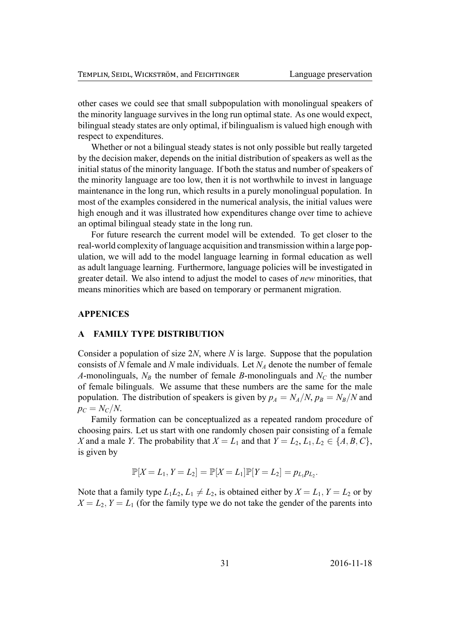other cases we could see that small subpopulation with monolingual speakers of the minority language survives in the long run optimal state. As one would expect, bilingual steady states are only optimal, if bilingualism is valued high enough with respect to expenditures.

Whether or not a bilingual steady states is not only possible but really targeted by the decision maker, depends on the initial distribution of speakers as well as the initial status of the minority language. If both the status and number of speakers of the minority language are too low, then it is not worthwhile to invest in language maintenance in the long run, which results in a purely monolingual population. In most of the examples considered in the numerical analysis, the initial values were high enough and it was illustrated how expenditures change over time to achieve an optimal bilingual steady state in the long run.

For future research the current model will be extended. To get closer to the real-world complexity of language acquisition and transmission within a large population, we will add to the model language learning in formal education as well as adult language learning. Furthermore, language policies will be investigated in greater detail. We also intend to adjust the model to cases of *new* minorities, that means minorities which are based on temporary or permanent migration.

#### **APPENICES**

#### **A FAMILY TYPE DISTRIBUTION**

Consider a population of size 2*N*, where *N* is large. Suppose that the population consists of *N* female and *N* male individuals. Let *N<sup>A</sup>* denote the number of female *A*-monolinguals,  $N_B$  the number of female *B*-monolinguals and  $N_C$  the number of female bilinguals. We assume that these numbers are the same for the male population. The distribution of speakers is given by  $p_A = N_A/N$ ,  $p_B = N_B/N$  and  $p_C = N_C/N$ .

Family formation can be conceptualized as a repeated random procedure of choosing pairs. Let us start with one randomly chosen pair consisting of a female *X* and a male *Y*. The probability that  $X = L_1$  and that  $Y = L_2, L_1, L_2 \in \{A, B, C\}$ , is given by

$$
\mathbb{P}[X = L_1, Y = L_2] = \mathbb{P}[X = L_1]\mathbb{P}[Y = L_2] = p_{L_1}p_{L_2}.
$$

Note that a family type  $L_1L_2$ ,  $L_1 \neq L_2$ , is obtained either by  $X = L_1$ ,  $Y = L_2$  or by  $X = L_2, Y = L_1$  (for the family type we do not take the gender of the parents into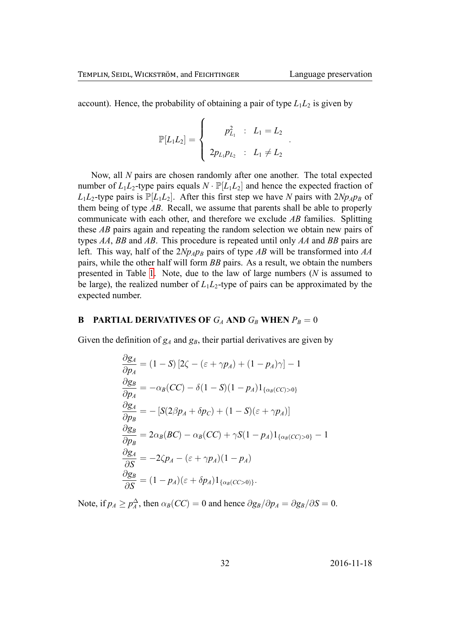*.*

account). Hence, the probability of obtaining a pair of type  $L_1L_2$  is given by

$$
\mathbb{P}[L_1L_2] = \left\{ \begin{array}{rcl} p_{L_1}^2 & : & L_1 = L_2 \\ & & \\ 2p_{L_1}p_{L_2} & : & L_1 \neq L_2 \end{array} \right.
$$

Now, all *N* pairs are chosen randomly after one another. The total expected number of  $L_1L_2$ -type pairs equals  $N \cdot \mathbb{P}[L_1L_2]$  and hence the expected fraction of  $L_1L_2$ -type pairs is  $\mathbb{P}[L_1L_2]$ . After this first step we have *N* pairs with  $2Np_Ap_B$  of them being of type *AB*. Recall, we assume that parents shall be able to properly communicate with each other, and therefore we exclude *AB* families. Splitting these *AB* pairs again and repeating the random selection we obtain new pairs of types *AA*, *BB* and *AB*. This procedure is repeated until only *AA* and *BB* pairs are left. This way, half of the  $2Np_Ap_B$  pairs of type *AB* will be transformed into *AA* pairs, while the other half will form *BB* pairs. As a result, we obtain the numbers presented in Table 1. Note, due to the law of large numbers (*N* is assumed to be large), the realized number of  $L_1L_2$ -type of pairs can be approximated by the expected number.

#### **B PA[R](#page-10-0)TIAL DERIVATIVES OF**  $G_A$  **AND**  $G_B$  **WHEN**  $P_B = 0$

<span id="page-32-0"></span>Given the definition of  $g_A$  and  $g_B$ , their partial derivatives are given by

$$
\frac{\partial g_A}{\partial p_A} = (1 - S) [2\zeta - (\varepsilon + \gamma p_A) + (1 - p_A)\gamma] - 1
$$
  
\n
$$
\frac{\partial g_B}{\partial p_A} = -\alpha_B (CC) - \delta (1 - S)(1 - p_A) 1_{\{\alpha_B (CC) > 0\}}
$$
  
\n
$$
\frac{\partial g_A}{\partial p_B} = - [S(2\beta p_A + \delta p_C) + (1 - S)(\varepsilon + \gamma p_A)]
$$
  
\n
$$
\frac{\partial g_B}{\partial p_B} = 2\alpha_B (BC) - \alpha_B (CC) + \gamma S(1 - p_A) 1_{\{\alpha_B (CC) > 0\}} - 1
$$
  
\n
$$
\frac{\partial g_A}{\partial S} = -2\zeta p_A - (\varepsilon + \gamma p_A)(1 - p_A)
$$
  
\n
$$
\frac{\partial g_B}{\partial S} = (1 - p_A)(\varepsilon + \delta p_A) 1_{\{\alpha_B (CC) > 0\}}.
$$

Note, if  $p_A \geq p_A^{\Delta}$ , then  $\alpha_B(CC) = 0$  and hence  $\partial g_B/\partial p_A = \partial g_B/\partial S = 0$ .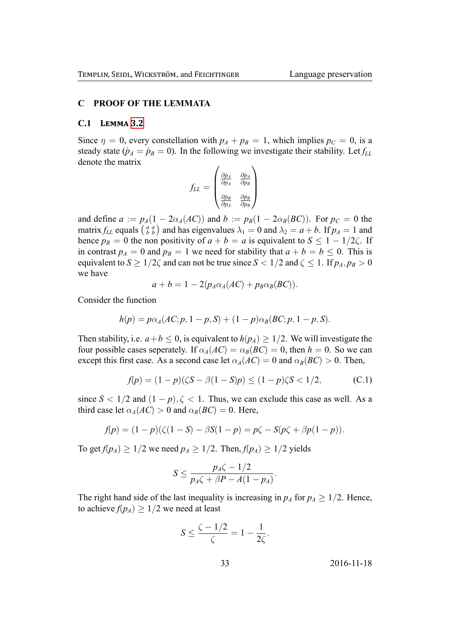#### **C PROOF OF THE LEMMATA**

#### **C.1 LEMMA 3.2**

Since  $\eta = 0$ , every constellation with  $p_A + p_B = 1$ , which implies  $p_C = 0$ , is a steady state ( $\dot{p}_A = \dot{p}_B = 0$ ). In the following we investigate their stability. Let  $f_{LL}$ denote the ma[trix](#page-15-1)

$$
f_{LL}=\left(\begin{matrix}\frac{\partial \dot{p}_A}{\partial p_A} & \frac{\partial \dot{p}_A}{\partial p_B} \\[1em] \frac{\partial \dot{p}_B}{\partial p_A} & \frac{\partial \dot{p}_B}{\partial p_B}\end{matrix}\right)
$$

and define  $a := p_A(1 - 2\alpha_A(AC))$  and  $b := p_B(1 - 2\alpha_B(BC))$ . For  $p_C = 0$  the matrix  $f_{LL}$  equals  $\begin{pmatrix} a & a \\ b & b \end{pmatrix}$  and has eigenvalues  $\lambda_1 = 0$  and  $\lambda_2 = a + b$ . If  $p_A = 1$  and hence  $p_B = 0$  the non positivity of  $a + b = a$  is equivalent to  $S \leq 1 - 1/2\zeta$ . If in contrast  $p_A = 0$  and  $p_B = 1$  we need for stability that  $a + b = b \le 0$ . This is equivalent to  $S \geq 1/2\zeta$  and can not be true since  $S < 1/2$  and  $\zeta \leq 1$ . If  $p_A, p_B > 0$ we have

$$
a+b=1-2(p_A\alpha_A(AC)+p_B\alpha_B(BC)).
$$

Consider the function

$$
h(p) = p\alpha_A (AC; p, 1-p, S) + (1-p)\alpha_B (BC; p, 1-p, S).
$$

Then stability, i.e.  $a + b \le 0$ , is equivalent to  $h(p_A) \ge 1/2$ . We will investigate the four possible cases seperately. If  $\alpha_A(AC) = \alpha_B(BC) = 0$ , then  $h = 0$ . So we can except this first case. As a second case let  $\alpha_A(AC) = 0$  and  $\alpha_B(BC) > 0$ . Then,

$$
f(p) = (1 - p)(\zeta S - \beta(1 - S)p) \le (1 - p)\zeta S < 1/2,\tag{C.1}
$$

since  $S < 1/2$  and  $(1 - p)$ ,  $\zeta < 1$ . Thus, we can exclude this case as well. As a third case let  $\alpha_A(AC) > 0$  and  $\alpha_B(BC) = 0$ . Here,

$$
f(p) = (1-p)(\zeta(1-S) - \beta S(1-p)) = p\zeta - S(p\zeta + \beta p(1-p)).
$$

To get  $f(p_A) \geq 1/2$  we need  $p_A \geq 1/2$ . Then,  $f(p_A) \geq 1/2$  yields

$$
S \leq \frac{p_A \zeta - 1/2}{p_A \zeta + \beta P - A(1 - p_A)}.
$$

The right hand side of the last inequality is increasing in  $p_A$  for  $p_A \geq 1/2$ . Hence, to achieve  $f(p_A) \geq 1/2$  we need at least

$$
S \le \frac{\zeta - 1/2}{\zeta} = 1 - \frac{1}{2\zeta}.
$$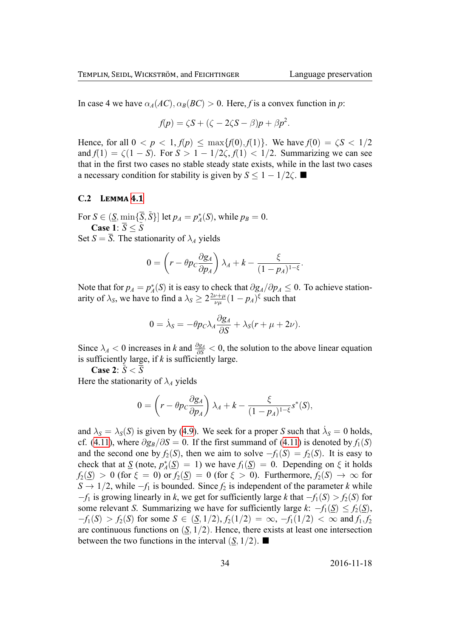In case 4 we have  $\alpha_A(AC), \alpha_B(BC) > 0$ . Here, *f* is a convex function in *p*:

$$
f(p) = \zeta S + (\zeta - 2\zeta S - \beta)p + \beta p^2.
$$

Hence, for all  $0 < p < 1$ ,  $f(p) < \max\{f(0), f(1)\}\)$ . We have  $f(0) = \zeta S < 1/2$ and  $f(1) = \zeta(1-S)$ . For  $S > 1 - 1/2\zeta$ ,  $f(1) < 1/2$ . Summarizing we can see that in the first two cases no stable steady state exists, while in the last two cases a necessary condition for stability is given by  $S$  < 1 − 1/2 $\zeta$ . ■

#### **C.2 LEMMA 4.1**

For  $S \in (\underline{S}, \min\{\overline{S}, \tilde{S}\}]$  let  $p_A = p_A^*(S)$ , while  $p_B = 0$ . **Case** 1:  $\overline{S} < \tilde{S}$ 

Set  $S = \overline{S}$ . Th[e sta](#page-21-0)tionarity of  $\lambda_A$  yields

$$
0 = \left(r - \theta p_c \frac{\partial g_A}{\partial p_A}\right) \lambda_A + k - \frac{\xi}{(1 - p_A)^{1 - \xi}}.
$$

Note that for  $p_A = p_A^*(S)$  it is easy to check that  $\partial g_A / \partial p_A \leq 0$ . To achieve stationarity of  $\lambda_S$ , we have to find a  $\lambda_S \geq 2 \frac{2\nu + \mu}{\nu_B}$  $\frac{\partial \nu + \mu}{\partial \mu} (1 - p_A)^{\xi}$  such that

$$
0 = \dot{\lambda}_S = -\theta p_C \lambda_A \frac{\partial g_A}{\partial S} + \lambda_S (r + \mu + 2\nu).
$$

Since  $\lambda_A < 0$  increases in *k* and  $\frac{\partial g_A}{\partial S} < 0$ , the solution to the above linear equation is sufficiently large, if *k* is sufficiently large.

**Case 2**: *S*˜ *< S*

Here the stationarity of  $\lambda_A$  yields

$$
0 = \left(r - \theta p_c \frac{\partial g_A}{\partial p_A}\right) \lambda_A + k - \frac{\xi}{(1 - p_A)^{1 - \xi}} s^*(S),
$$

and  $\lambda_S = \lambda_S(S)$  is given by (4.9). We seek for a proper *S* such that  $\dot{\lambda}_S = 0$  holds, cf. (4.11), where  $\partial g_B/\partial S = 0$ . If the first summand of (4.11) is denoted by  $f_1(S)$ and the second one by  $f_2(S)$ , then we aim to solve  $-f_1(S) = f_2(S)$ . It is easy to check that at  $\underline{S}$  (note,  $p_A^*(\underline{S}) = 1$  $p_A^*(\underline{S}) = 1$  $p_A^*(\underline{S}) = 1$ ) we have  $f_1(\underline{S}) = 0$ . Depending on  $\xi$  it holds  $f_2(S) > 0$  $f_2(S) > 0$  $f_2(S) > 0$  (for  $\xi = 0$ ) or  $f_2(S) = 0$  (for  $\xi > 0$ ). Furt[hermo](#page-20-1)re,  $f_2(S) \to \infty$  for *S →* 1*/*2, while *−f*<sup>1</sup> is bounded. Since *f*<sup>2</sup> is independent of the parameter *k* while *−f*<sup>1</sup> is growing linearly in *k*, we get for sufficiently large *k* that *−f*1(*S*) *> f*2(*S*) for some relevant *S*. Summarizing we have for sufficiently large  $k$ :  $-f_1(S) \le f_2(S)$ ,  $-f_1(S) > f_2(S)$  for some  $S \in (\underline{S}, 1/2), f_2(1/2) = \infty, -f_1(1/2) < \infty$  and  $f_1, f_2$ are continuous functions on  $(S, 1/2)$ . Hence, there exists at least one intersection between the two functions in the interval  $(S, 1/2)$ .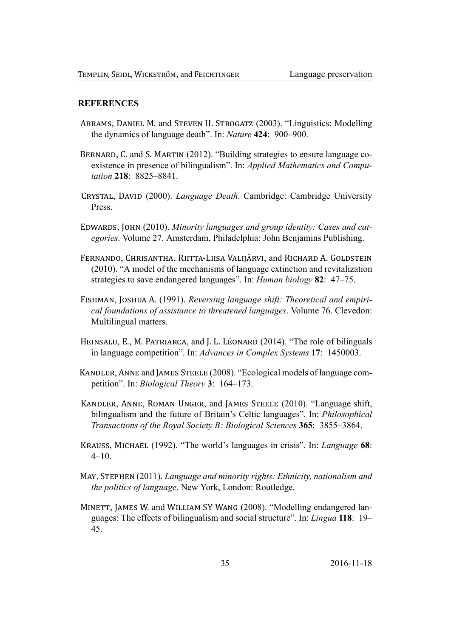#### **REFERENCES**

- ABRAMS, DANIEL M. and STEVEN H. STROGATZ (2003). "Linguistics: Modelling the dynamics of language death". In: Nature 424: 900-900.
- BERNARD, C. and S. MARTIN (2012). "Building strategies to ensure language coexistence in presence of bilingualism". In: Applied Mathematics and Computation 218: 8825-8841.
- CRYSTAL, DAVID (2000). Language Death. Cambridge: Cambridge University Press
- <span id="page-35-2"></span>EDWARDS, JOHN (2010). Minority languages and group identity: Cases and categories. Volume 27. Amsterdam, Philadelphia: John Benjamins Publishing.
- <span id="page-35-1"></span>FERNANDO, CHRISANTHA, RIITTA-LIISA VALIJÄRVI, and RICHARD A. GOLDSTEIN (2010). "A model of the mechanisms of language extinction and revitalization strategies to save endangered languages". In: *Human biology* 82: 47–75.
- FISHMAN, JOSHUA A. (1991). Reversing language shift: Theoretical and empirical foundations of assistance to threatened languages. Volume 76. Clevedon: Multilingual matters.
- <span id="page-35-5"></span>HEINSALU, E., M. PATRIARCA, and J. L. LÉONARD (2014). "The role of bilinguals in language competition". In: Advances in Complex Systems 17: 1450003.
- KANDLER, ANNE and JAMES STEELE (2008). "Ecological models of language competition". In: *Biological Theory* 3: 164–173.
- <span id="page-35-4"></span>KANDLER, ANNE, ROMAN UNGER, and JAMES STEELE (2010). "Language shift, bilingualism and the future of Britain's Celtic languages". In: *Philosophical* Transactions of the Royal Society B: Biological Sciences 365: 3855–3864.
- <span id="page-35-0"></span>KRAUSS, MICHAEL (1992). "The world's languages in crisis". In: Language 68:  $4 - 10$ .
- MAY, STEPHEN (2011). Language and minority rights: Ethnicity, nationalism and *the politics of language.* New York, London: Routledge.
- <span id="page-35-3"></span>MINETT, JAMES W. and WILLIAM SY WANG (2008). "Modelling endangered languages: The effects of bilingualism and social structure". In: Lingua 118: 19– 45.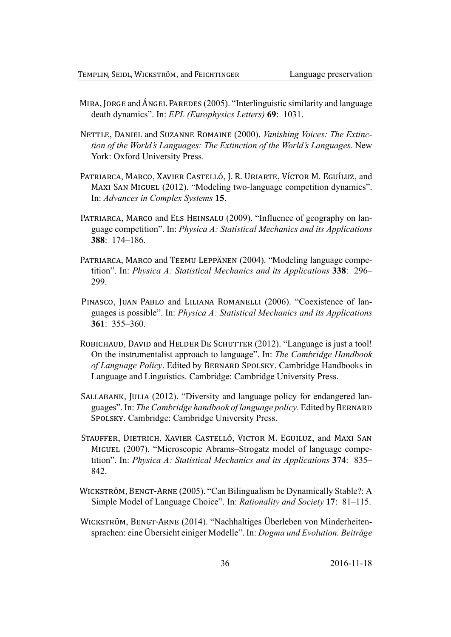- MIRA, JORGE and ÁNGEL PAREDES (2005). "Interlinguistic similarity and language death dynamics". In: EPL (Europhysics Letters) 69: 1031.
- NETTLE, DANIEL and SUZANNE ROMAINE (2000). Vanishing Voices: The Extinction of the World's Languages: The Extinction of the World's Languages. New York: Oxford University Press.
- PATRIARCA, MARCO, XAVIER CASTELLÓ, J. R. URIARTE, VÍCTOR M. EGUÍLUZ, and MAXI SAN MIGUEL (2012). "Modeling two-language competition dynamics". In: Advances in Complex Systems 15.
- PATRIARCA, MARCO and ELS HEINSALU (2009). "Influence of geography on language competition". In: *Physica A: Statistical Mechanics and its Applications*  $388 \cdot 174 - 186$
- PATRIARCA, MARCO and TEEMU LEPPÄNEN (2004). "Modeling language competition". In: Physica A: Statistical Mechanics and its Applications 338: 296– 299.
- PINASCO, JUAN PABLO and LILIANA ROMANELLI (2006). "Coexistence of languages is possible". In: *Physica A: Statistical Mechanics and its Applications* 361:  $355 - 360$ .
- <span id="page-36-1"></span>ROBICHAUD, DAVID and HELDER DE SCHUTTER (2012). "Language is just a tool! On the instrumentalist approach to language". In: The Cambridge Handbook of Language Policy. Edited by BERNARD SPOLSKY. Cambridge Handbooks in Language and Linguistics. Cambridge: Cambridge University Press.
- <span id="page-36-0"></span>SALLABANK, JULIA (2012). "Diversity and language policy for endangered languages". In: The Cambridge handbook of language policy. Edited by BERNARD SPOLSKY. Cambridge: Cambridge University Press.
- STAUFFER, DIETRICH, XAVIER CASTELLÓ, VICTOR M. EGUILUZ, and MAXI SAN MIGUEL (2007). "Microscopic Abrams-Strogatz model of language competition". In: *Physica A: Statistical Mechanics and its Applications* 374: 835– 842.
- WICKSTRÖM, BENGT-ARNE (2005). "Can Bilingualism be Dynamically Stable?: A Simple Model of Language Choice". In: Rationality and Society 17: 81–115.
- WICKSTRÖM, BENGT-ARNE (2014). "Nachhaltiges Überleben von Minderheitensprachen: eine Übersicht einiger Modelle". In: Dogma und Evolution. Beiträge